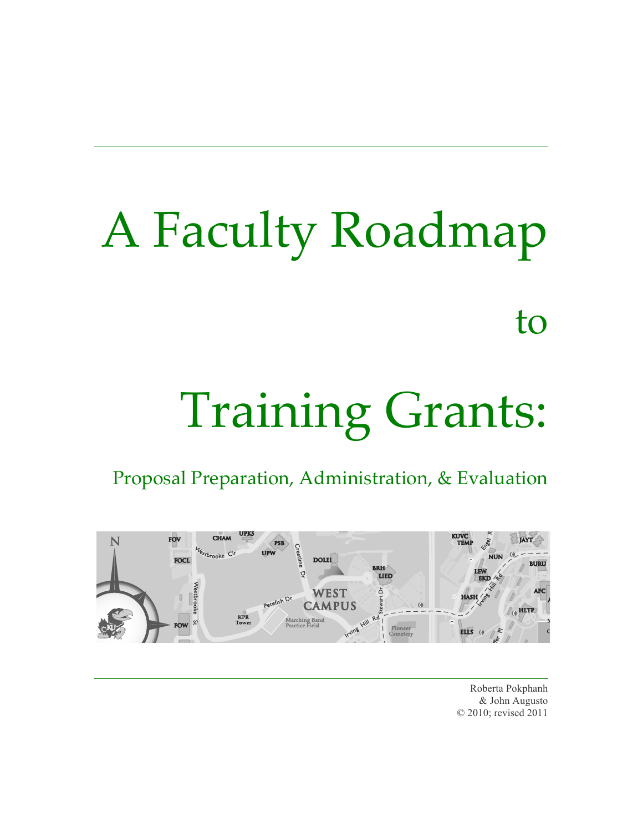# A Faculty Roadmap to

# Training Grants:

Proposal Preparation, Administration, & Evaluation



Roberta Pokphanh & John Augusto © 2010; revised 2011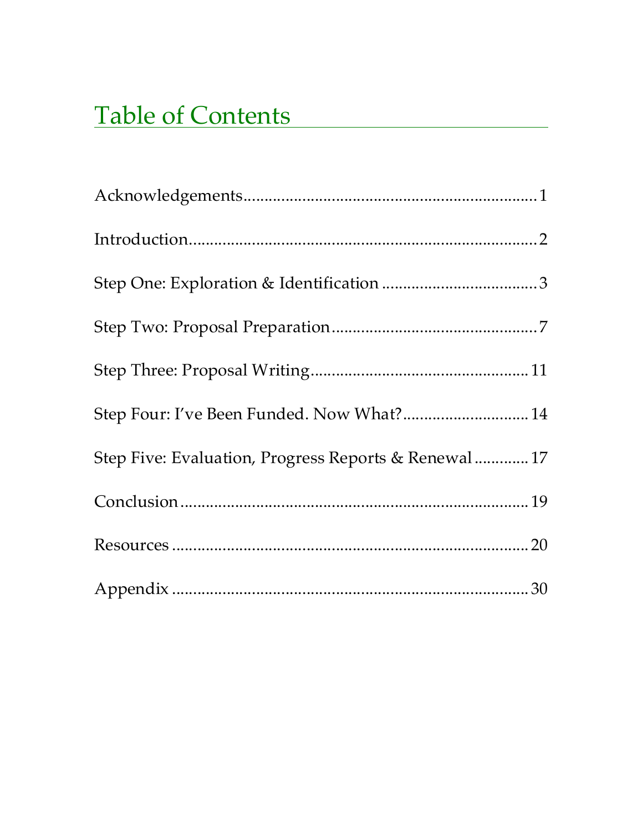# **Table of Contents**

| Step Four: I've Been Funded. Now What? 14            |  |
|------------------------------------------------------|--|
| Step Five: Evaluation, Progress Reports & Renewal 17 |  |
|                                                      |  |
|                                                      |  |
|                                                      |  |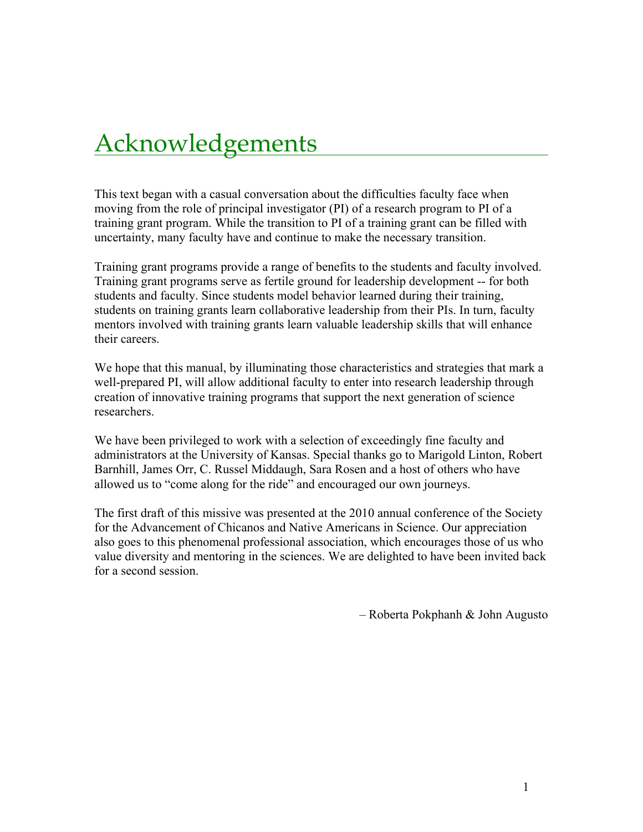# **Acknowledgements**

This text began with a casual conversation about the difficulties faculty face when moving from the role of principal investigator (PI) of a research program to PI of a training grant program. While the transition to PI of a training grant can be filled with uncertainty, many faculty have and continue to make the necessary transition.

Training grant programs provide a range of benefits to the students and faculty involved. Training grant programs serve as fertile ground for leadership development -- for both students and faculty. Since students model behavior learned during their training, students on training grants learn collaborative leadership from their PIs. In turn, faculty mentors involved with training grants learn valuable leadership skills that will enhance their careers.

We hope that this manual, by illuminating those characteristics and strategies that mark a well-prepared PI, will allow additional faculty to enter into research leadership through creation of innovative training programs that support the next generation of science researchers.

We have been privileged to work with a selection of exceedingly fine faculty and administrators at the University of Kansas. Special thanks go to Marigold Linton, Robert Barnhill, James Orr, C. Russel Middaugh, Sara Rosen and a host of others who have allowed us to "come along for the ride" and encouraged our own journeys.

The first draft of this missive was presented at the 2010 annual conference of the Society for the Advancement of Chicanos and Native Americans in Science. Our appreciation also goes to this phenomenal professional association, which encourages those of us who value diversity and mentoring in the sciences. We are delighted to have been invited back for a second session.

– Roberta Pokphanh & John Augusto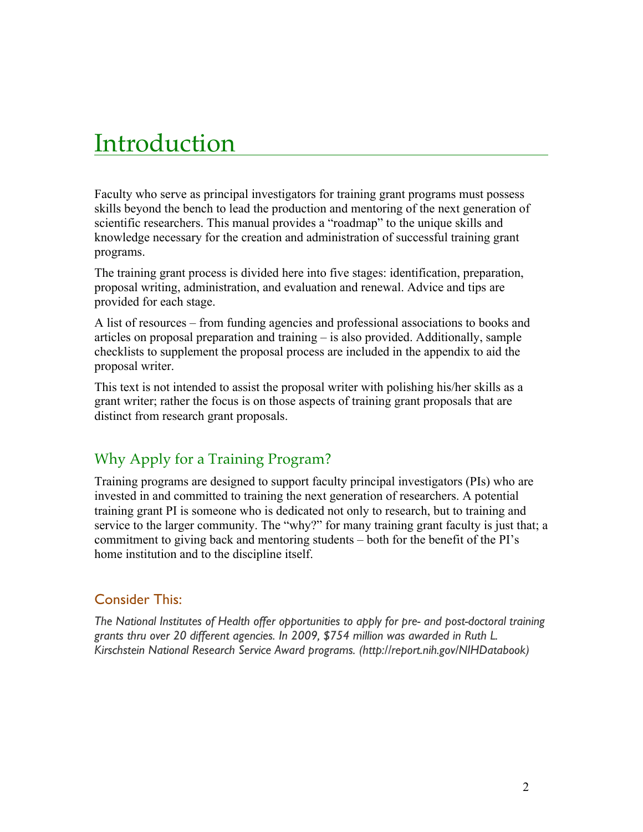# Introduction

Faculty who serve as principal investigators for training grant programs must possess skills beyond the bench to lead the production and mentoring of the next generation of scientific researchers. This manual provides a "roadmap" to the unique skills and knowledge necessary for the creation and administration of successful training grant programs.

The training grant process is divided here into five stages: identification, preparation, proposal writing, administration, and evaluation and renewal. Advice and tips are provided for each stage.

A list of resources – from funding agencies and professional associations to books and articles on proposal preparation and training – is also provided. Additionally, sample checklists to supplement the proposal process are included in the appendix to aid the proposal writer.

This text is not intended to assist the proposal writer with polishing his/her skills as a grant writer; rather the focus is on those aspects of training grant proposals that are distinct from research grant proposals.

# Why Apply for a Training Program?

Training programs are designed to support faculty principal investigators (PIs) who are invested in and committed to training the next generation of researchers. A potential training grant PI is someone who is dedicated not only to research, but to training and service to the larger community. The "why?" for many training grant faculty is just that; a commitment to giving back and mentoring students – both for the benefit of the PI's home institution and to the discipline itself.

### Consider This:

*The National Institutes of Health offer opportunities to apply for pre- and post-doctoral training grants thru over 20 different agencies. In 2009, \$754 million was awarded in Ruth L. Kirschstein National Research Service Award programs. (http://report.nih.gov/NIHDatabook)*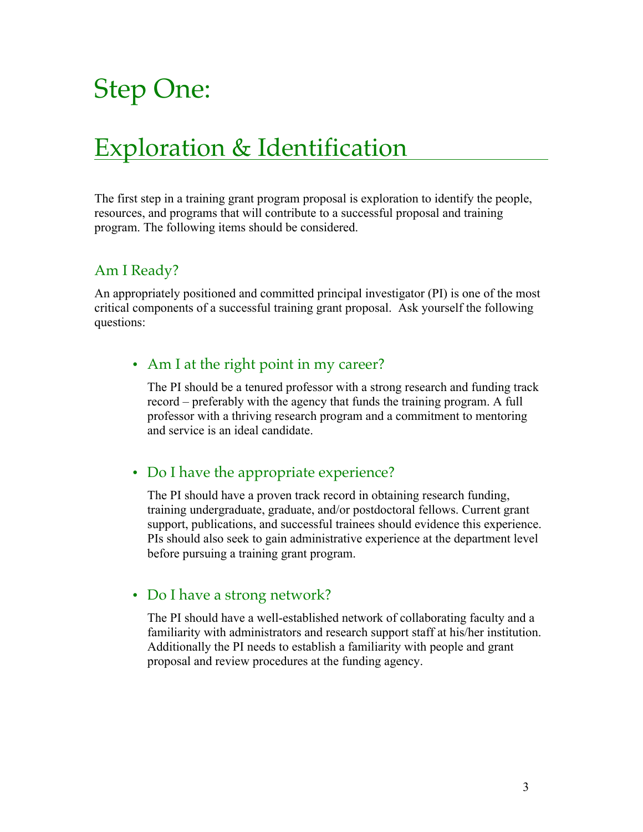# Step One:

# **Exploration & Identification**

The first step in a training grant program proposal is exploration to identify the people, resources, and programs that will contribute to a successful proposal and training program. The following items should be considered.

# Am I Ready?

An appropriately positioned and committed principal investigator (PI) is one of the most critical components of a successful training grant proposal. Ask yourself the following questions:

### • Am I at the right point in my career?

The PI should be a tenured professor with a strong research and funding track record – preferably with the agency that funds the training program. A full professor with a thriving research program and a commitment to mentoring and service is an ideal candidate.

# • Do I have the appropriate experience?

The PI should have a proven track record in obtaining research funding, training undergraduate, graduate, and/or postdoctoral fellows. Current grant support, publications, and successful trainees should evidence this experience. PIs should also seek to gain administrative experience at the department level before pursuing a training grant program.

### • Do I have a strong network?

The PI should have a well-established network of collaborating faculty and a familiarity with administrators and research support staff at his/her institution. Additionally the PI needs to establish a familiarity with people and grant proposal and review procedures at the funding agency.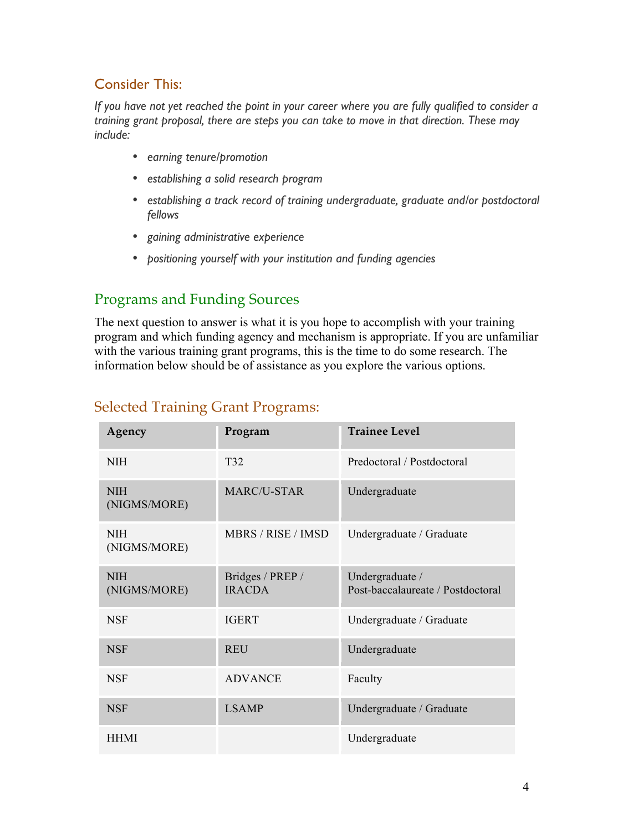# Consider This:

*If you have not yet reached the point in your career where you are fully qualified to consider a training grant proposal, there are steps you can take to move in that direction. These may include:*

- *earning tenure/promotion*
- *establishing a solid research program*
- *establishing a track record of training undergraduate, graduate and/or postdoctoral fellows*
- *gaining administrative experience*
- *positioning yourself with your institution and funding agencies*

# Programs and Funding Sources

The next question to answer is what it is you hope to accomplish with your training program and which funding agency and mechanism is appropriate. If you are unfamiliar with the various training grant programs, this is the time to do some research. The information below should be of assistance as you explore the various options.

| Agency                     | Program                           | <b>Trainee Level</b>                                 |
|----------------------------|-----------------------------------|------------------------------------------------------|
| <b>NIH</b>                 | T32                               | Predoctoral / Postdoctoral                           |
| <b>NIH</b><br>(NIGMS/MORE) | MARC/U-STAR                       | Undergraduate                                        |
| <b>NIH</b><br>(NIGMS/MORE) | MBRS / RISE / IMSD                | Undergraduate / Graduate                             |
| <b>NIH</b><br>(NIGMS/MORE) | Bridges / PREP /<br><b>IRACDA</b> | Undergraduate /<br>Post-baccalaureate / Postdoctoral |
| <b>NSF</b>                 | <b>IGERT</b>                      | Undergraduate / Graduate                             |
| <b>NSF</b>                 | <b>REU</b>                        | Undergraduate                                        |
| <b>NSF</b>                 | <b>ADVANCE</b>                    | Faculty                                              |
| <b>NSF</b>                 | <b>LSAMP</b>                      | Undergraduate / Graduate                             |
| <b>HHMI</b>                |                                   | Undergraduate                                        |

### Selected Training Grant Programs: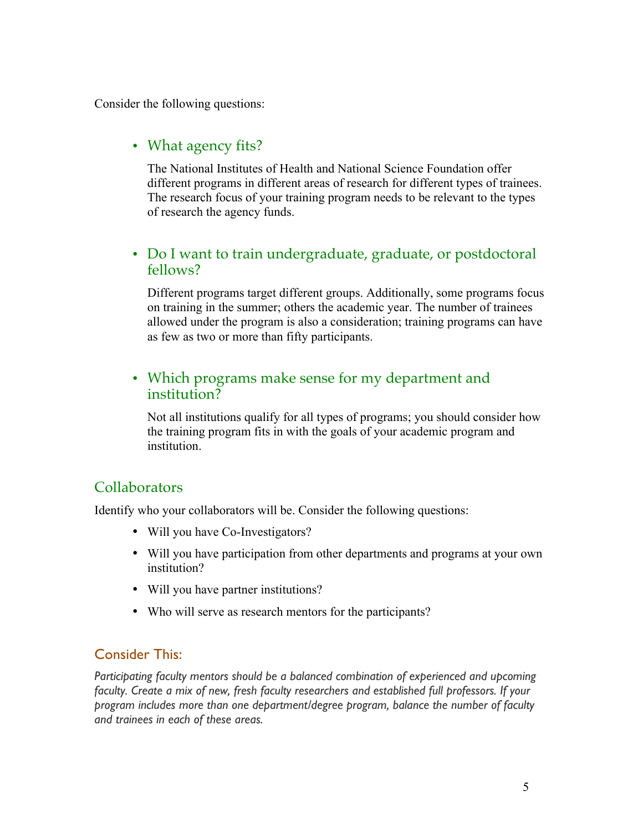Consider the following questions:

# • What agency fits?

The National Institutes of Health and National Science Foundation offer different programs in different areas of research for different types of trainees. The research focus of your training program needs to be relevant to the types of research the agency funds.

### • Do I want to train undergraduate, graduate, or postdoctoral fellows?

Different programs target different groups. Additionally, some programs focus on training in the summer; others the academic year. The number of trainees allowed under the program is also a consideration; training programs can have as few as two or more than fifty participants.

### • Which programs make sense for my department and institution?

Not all institutions qualify for all types of programs; you should consider how the training program fits in with the goals of your academic program and institution.

### **Collaborators**

Identify who your collaborators will be. Consider the following questions:

- Will you have Co-Investigators?
- Will you have participation from other departments and programs at your own institution?
- Will you have partner institutions?
- Who will serve as research mentors for the participants?

### Consider This:

*Participating faculty mentors should be a balanced combination of experienced and upcoming faculty. Create a mix of new, fresh faculty researchers and established full professors. If your program includes more than one department/degree program, balance the number of faculty and trainees in each of these areas.*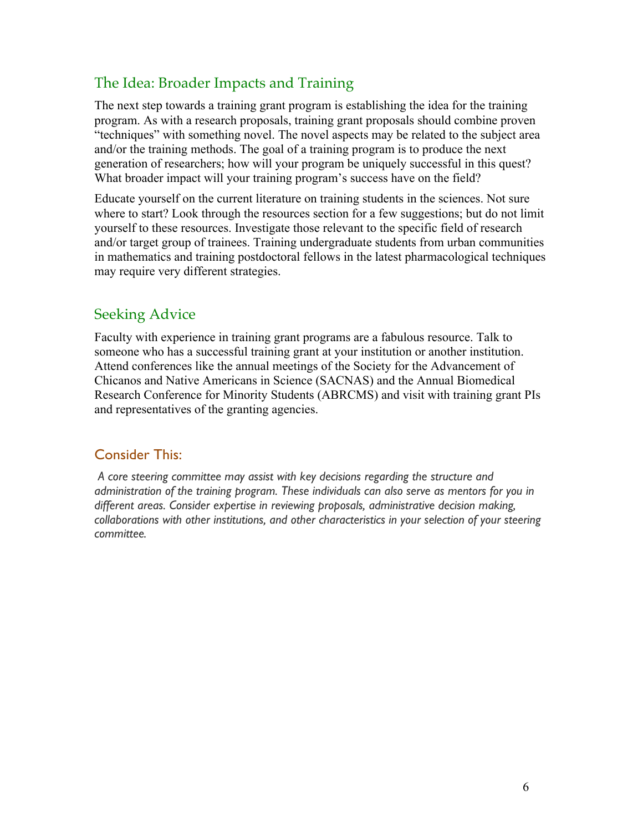# The Idea: Broader Impacts and Training

The next step towards a training grant program is establishing the idea for the training program. As with a research proposals, training grant proposals should combine proven "techniques" with something novel. The novel aspects may be related to the subject area and/or the training methods. The goal of a training program is to produce the next generation of researchers; how will your program be uniquely successful in this quest? What broader impact will your training program's success have on the field?

Educate yourself on the current literature on training students in the sciences. Not sure where to start? Look through the resources section for a few suggestions; but do not limit yourself to these resources. Investigate those relevant to the specific field of research and/or target group of trainees. Training undergraduate students from urban communities in mathematics and training postdoctoral fellows in the latest pharmacological techniques may require very different strategies.

# Seeking Advice

Faculty with experience in training grant programs are a fabulous resource. Talk to someone who has a successful training grant at your institution or another institution. Attend conferences like the annual meetings of the Society for the Advancement of Chicanos and Native Americans in Science (SACNAS) and the Annual Biomedical Research Conference for Minority Students (ABRCMS) and visit with training grant PIs and representatives of the granting agencies.

### Consider This:

*A core steering committee may assist with key decisions regarding the structure and administration of the training program. These individuals can also serve as mentors for you in different areas. Consider expertise in reviewing proposals, administrative decision making, collaborations with other institutions, and other characteristics in your selection of your steering committee.*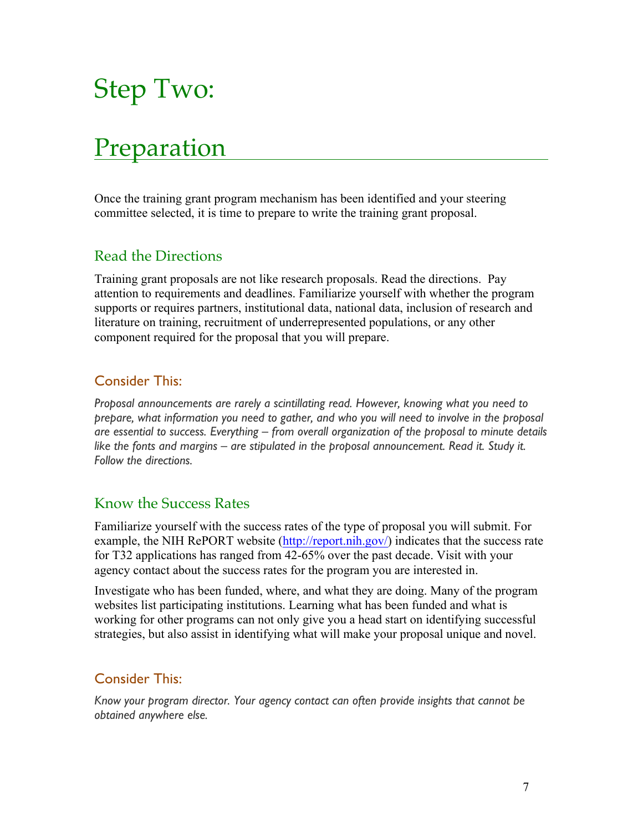# Step Two:

# Preparation

Once the training grant program mechanism has been identified and your steering committee selected, it is time to prepare to write the training grant proposal.

# Read the Directions

Training grant proposals are not like research proposals. Read the directions. Pay attention to requirements and deadlines. Familiarize yourself with whether the program supports or requires partners, institutional data, national data, inclusion of research and literature on training, recruitment of underrepresented populations, or any other component required for the proposal that you will prepare.

### Consider This:

*Proposal announcements are rarely a scintillating read. However, knowing what you need to prepare, what information you need to gather, and who you will need to involve in the proposal are essential to success. Everything – from overall organization of the proposal to minute details like the fonts and margins – are stipulated in the proposal announcement. Read it. Study it. Follow the directions.*

### Know the Success Rates

Familiarize yourself with the success rates of the type of proposal you will submit. For example, the NIH RePORT website (http://report.nih.gov/) indicates that the success rate for T32 applications has ranged from 42-65% over the past decade. Visit with your agency contact about the success rates for the program you are interested in.

Investigate who has been funded, where, and what they are doing. Many of the program websites list participating institutions. Learning what has been funded and what is working for other programs can not only give you a head start on identifying successful strategies, but also assist in identifying what will make your proposal unique and novel.

### Consider This:

*Know your program director. Your agency contact can often provide insights that cannot be obtained anywhere else.*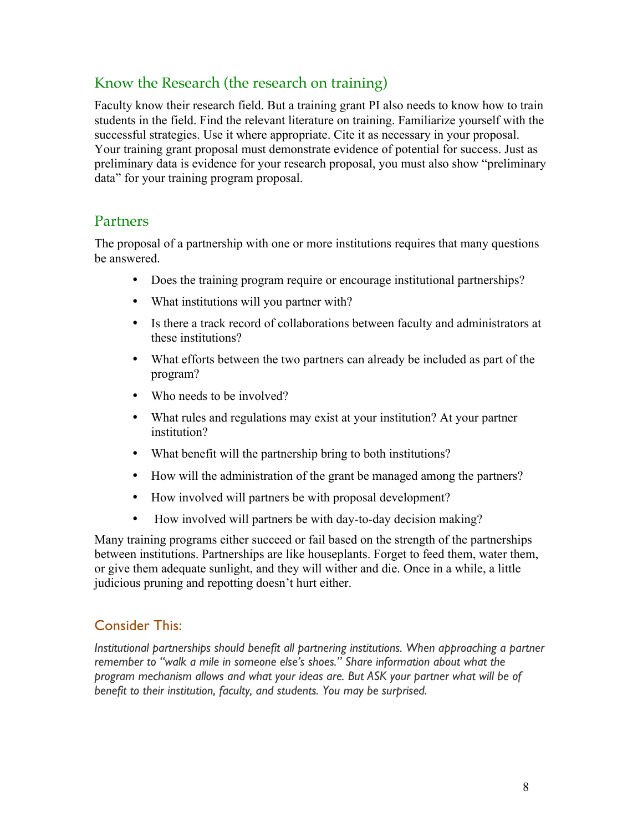# Know the Research (the research on training)

Faculty know their research field. But a training grant PI also needs to know how to train students in the field. Find the relevant literature on training. Familiarize yourself with the successful strategies. Use it where appropriate. Cite it as necessary in your proposal. Your training grant proposal must demonstrate evidence of potential for success. Just as preliminary data is evidence for your research proposal, you must also show "preliminary data" for your training program proposal.

### Partners

The proposal of a partnership with one or more institutions requires that many questions be answered.

- Does the training program require or encourage institutional partnerships?
- What institutions will you partner with?
- Is there a track record of collaborations between faculty and administrators at these institutions?
- What efforts between the two partners can already be included as part of the program?
- Who needs to be involved?
- What rules and regulations may exist at your institution? At your partner institution?
- What benefit will the partnership bring to both institutions?
- How will the administration of the grant be managed among the partners?
- How involved will partners be with proposal development?
- How involved will partners be with day-to-day decision making?

Many training programs either succeed or fail based on the strength of the partnerships between institutions. Partnerships are like houseplants. Forget to feed them, water them, or give them adequate sunlight, and they will wither and die. Once in a while, a little judicious pruning and repotting doesn't hurt either.

### Consider This:

*Institutional partnerships should benefit all partnering institutions. When approaching a partner remember to "walk a mile in someone else's shoes." Share information about what the program mechanism allows and what your ideas are. But ASK your partner what will be of benefit to their institution, faculty, and students. You may be surprised.*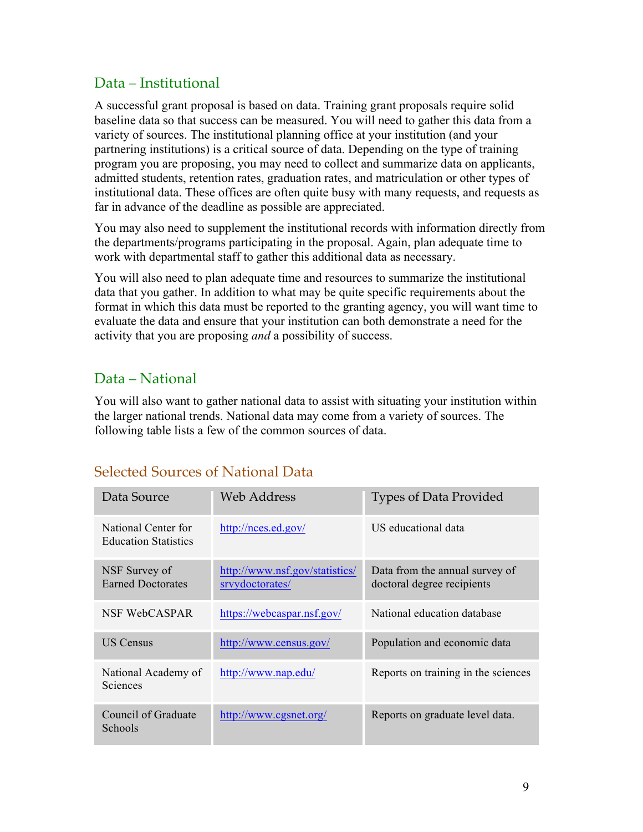# Data – Institutional

A successful grant proposal is based on data. Training grant proposals require solid baseline data so that success can be measured. You will need to gather this data from a variety of sources. The institutional planning office at your institution (and your partnering institutions) is a critical source of data. Depending on the type of training program you are proposing, you may need to collect and summarize data on applicants, admitted students, retention rates, graduation rates, and matriculation or other types of institutional data. These offices are often quite busy with many requests, and requests as far in advance of the deadline as possible are appreciated.

You may also need to supplement the institutional records with information directly from the departments/programs participating in the proposal. Again, plan adequate time to work with departmental staff to gather this additional data as necessary.

You will also need to plan adequate time and resources to summarize the institutional data that you gather. In addition to what may be quite specific requirements about the format in which this data must be reported to the granting agency, you will want time to evaluate the data and ensure that your institution can both demonstrate a need for the activity that you are proposing *and* a possibility of success.

# Data – National

You will also want to gather national data to assist with situating your institution within the larger national trends. National data may come from a variety of sources. The following table lists a few of the common sources of data.

# Selected Sources of National Data

| Data Source                                        | Web Address                                       | <b>Types of Data Provided</b>                                |
|----------------------------------------------------|---------------------------------------------------|--------------------------------------------------------------|
| National Center for<br><b>Education Statistics</b> | http://nces.ed.gov/                               | US educational data                                          |
| NSF Survey of<br><b>Earned Doctorates</b>          | http://www.nsf.gov/statistics/<br>srvydoctorates/ | Data from the annual survey of<br>doctoral degree recipients |
| NSF WebCASPAR                                      | https://webcaspar.nsf.gov/                        | National education database                                  |
| <b>US Census</b>                                   | http://www.census.gov/                            | Population and economic data                                 |
| National Academy of<br><b>Sciences</b>             | http://www.nap.edu/                               | Reports on training in the sciences                          |
| Council of Graduate<br>Schools                     | http://www.cgsnet.org/                            | Reports on graduate level data.                              |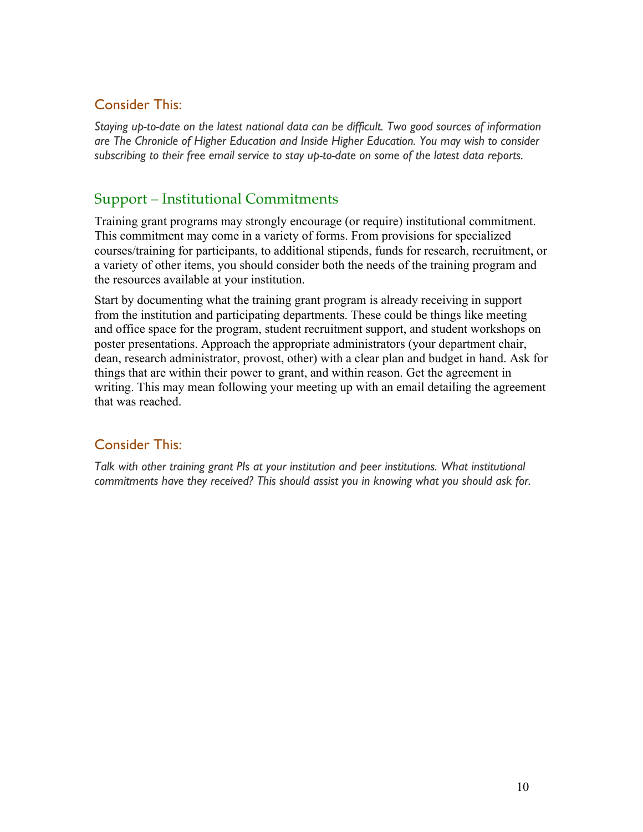### Consider This:

*Staying up-to-date on the latest national data can be difficult. Two good sources of information are The Chronicle of Higher Education and Inside Higher Education. You may wish to consider subscribing to their free email service to stay up-to-date on some of the latest data reports.*

# Support – Institutional Commitments

Training grant programs may strongly encourage (or require) institutional commitment. This commitment may come in a variety of forms. From provisions for specialized courses/training for participants, to additional stipends, funds for research, recruitment, or a variety of other items, you should consider both the needs of the training program and the resources available at your institution.

Start by documenting what the training grant program is already receiving in support from the institution and participating departments. These could be things like meeting and office space for the program, student recruitment support, and student workshops on poster presentations. Approach the appropriate administrators (your department chair, dean, research administrator, provost, other) with a clear plan and budget in hand. Ask for things that are within their power to grant, and within reason. Get the agreement in writing. This may mean following your meeting up with an email detailing the agreement that was reached.

### Consider This:

*Talk with other training grant PIs at your institution and peer institutions. What institutional commitments have they received? This should assist you in knowing what you should ask for.*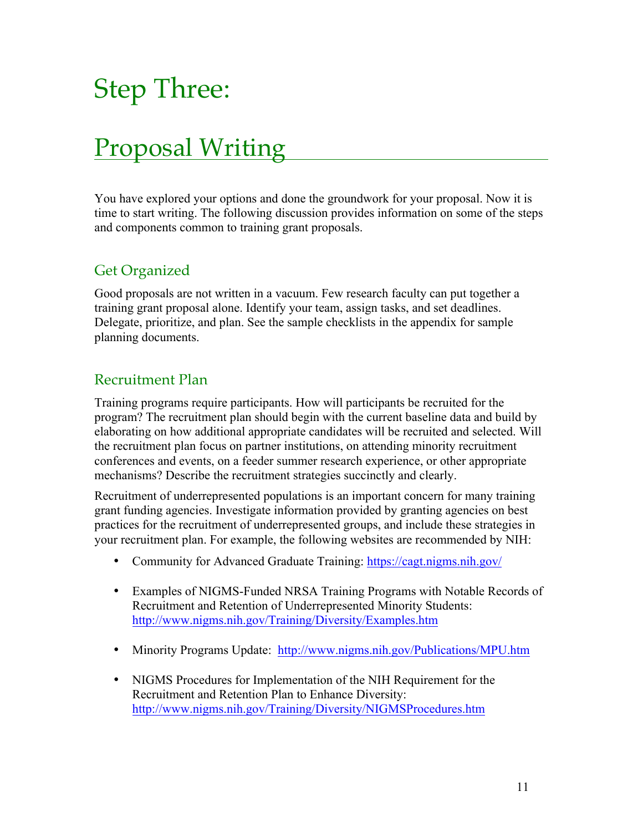# Step Three:

# Proposal Writing

You have explored your options and done the groundwork for your proposal. Now it is time to start writing. The following discussion provides information on some of the steps and components common to training grant proposals.

# Get Organized

Good proposals are not written in a vacuum. Few research faculty can put together a training grant proposal alone. Identify your team, assign tasks, and set deadlines. Delegate, prioritize, and plan. See the sample checklists in the appendix for sample planning documents.

# Recruitment Plan

Training programs require participants. How will participants be recruited for the program? The recruitment plan should begin with the current baseline data and build by elaborating on how additional appropriate candidates will be recruited and selected. Will the recruitment plan focus on partner institutions, on attending minority recruitment conferences and events, on a feeder summer research experience, or other appropriate mechanisms? Describe the recruitment strategies succinctly and clearly.

Recruitment of underrepresented populations is an important concern for many training grant funding agencies. Investigate information provided by granting agencies on best practices for the recruitment of underrepresented groups, and include these strategies in your recruitment plan. For example, the following websites are recommended by NIH:

- Community for Advanced Graduate Training: https://cagt.nigms.nih.gov/
- Examples of NIGMS-Funded NRSA Training Programs with Notable Records of Recruitment and Retention of Underrepresented Minority Students: http://www.nigms.nih.gov/Training/Diversity/Examples.htm
- Minority Programs Update: http://www.nigms.nih.gov/Publications/MPU.htm
- NIGMS Procedures for Implementation of the NIH Requirement for the Recruitment and Retention Plan to Enhance Diversity: http://www.nigms.nih.gov/Training/Diversity/NIGMSProcedures.htm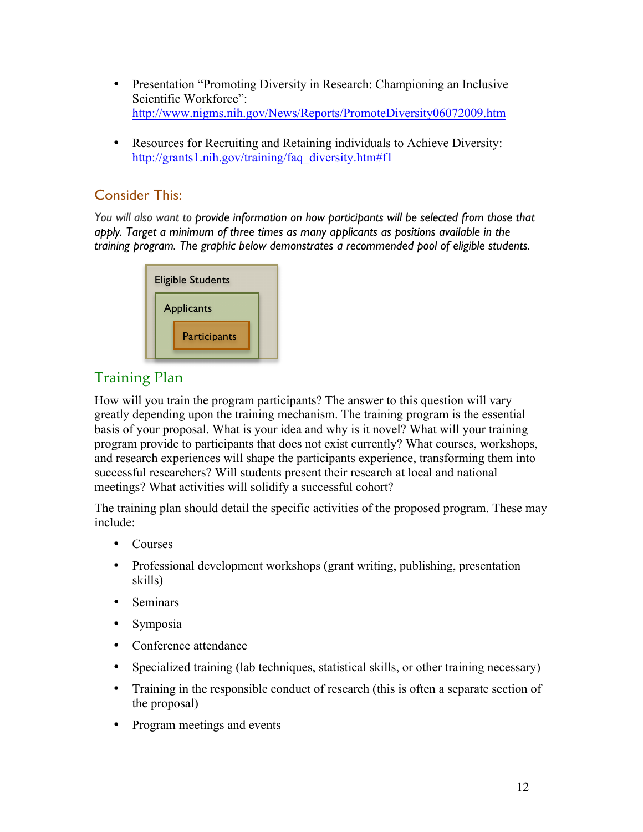- Presentation "Promoting Diversity in Research: Championing an Inclusive Scientific Workforce": http://www.nigms.nih.gov/News/Reports/PromoteDiversity06072009.htm
- Resources for Recruiting and Retaining individuals to Achieve Diversity: http://grants1.nih.gov/training/faq\_diversity.htm#f1

# Consider This:

*You will also want to provide information on how participants will be selected from those that apply. Target a minimum of three times as many applicants as positions available in the training program. The graphic below demonstrates a recommended pool of eligible students.*



# Training Plan

How will you train the program participants? The answer to this question will vary greatly depending upon the training mechanism. The training program is the essential basis of your proposal. What is your idea and why is it novel? What will your training program provide to participants that does not exist currently? What courses, workshops, and research experiences will shape the participants experience, transforming them into successful researchers? Will students present their research at local and national meetings? What activities will solidify a successful cohort?

The training plan should detail the specific activities of the proposed program. These may include:

- Courses
- Professional development workshops (grant writing, publishing, presentation skills)
- Seminars
- Symposia
- Conference attendance
- Specialized training (lab techniques, statistical skills, or other training necessary)
- Training in the responsible conduct of research (this is often a separate section of the proposal)
- Program meetings and events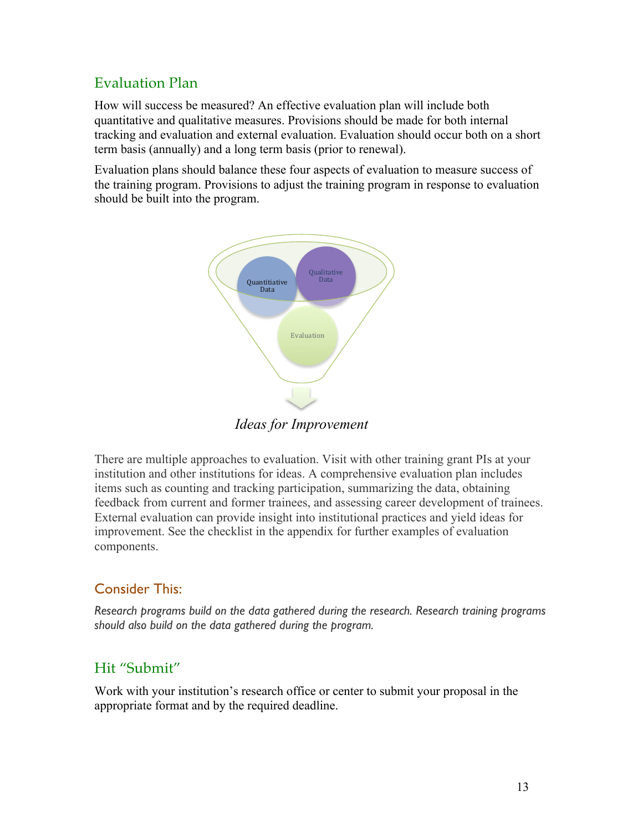# Evaluation Plan

How will success be measured? An effective evaluation plan will include both quantitative and qualitative measures. Provisions should be made for both internal tracking and evaluation and external evaluation. Evaluation should occur both on a short term basis (annually) and a long term basis (prior to renewal).

Evaluation plans should balance these four aspects of evaluation to measure success of the training program. Provisions to adjust the training program in response to evaluation should be built into the program.



*Ideas for Improvement* 

There are multiple approaches to evaluation. Visit with other training grant PIs at your institution and other institutions for ideas. A comprehensive evaluation plan includes items such as counting and tracking participation, summarizing the data, obtaining feedback from current and former trainees, and assessing career development of trainees. External evaluation can provide insight into institutional practices and yield ideas for improvement. See the checklist in the appendix for further examples of evaluation components.

### Consider This:

*Research programs build on the data gathered during the research. Research training programs should also build on the data gathered during the program.*

### Hit "Submit"

Work with your institution's research office or center to submit your proposal in the appropriate format and by the required deadline.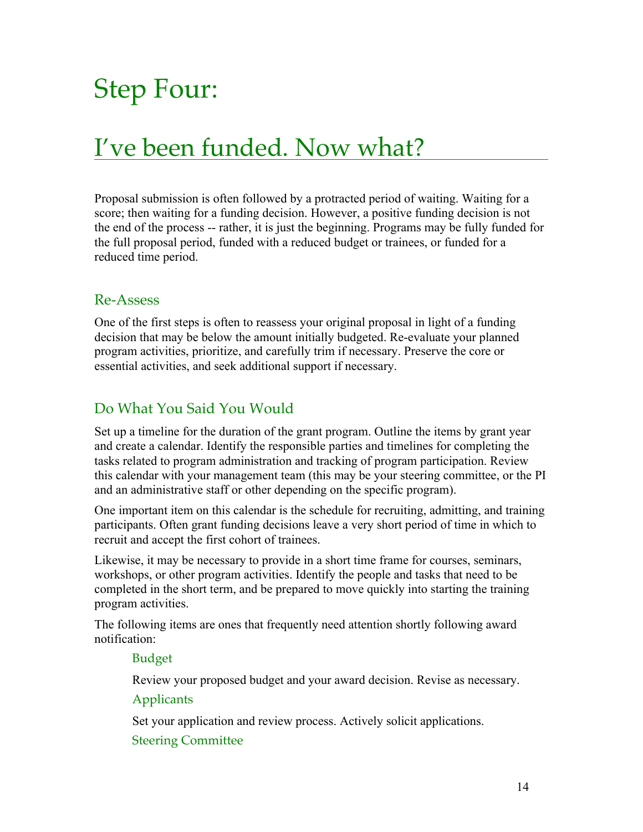# Step Four:

# I've been funded. Now what?

Proposal submission is often followed by a protracted period of waiting. Waiting for a score; then waiting for a funding decision. However, a positive funding decision is not the end of the process -- rather, it is just the beginning. Programs may be fully funded for the full proposal period, funded with a reduced budget or trainees, or funded for a reduced time period.

### Re-Assess

One of the first steps is often to reassess your original proposal in light of a funding decision that may be below the amount initially budgeted. Re-evaluate your planned program activities, prioritize, and carefully trim if necessary. Preserve the core or essential activities, and seek additional support if necessary.

# Do What You Said You Would

Set up a timeline for the duration of the grant program. Outline the items by grant year and create a calendar. Identify the responsible parties and timelines for completing the tasks related to program administration and tracking of program participation. Review this calendar with your management team (this may be your steering committee, or the PI and an administrative staff or other depending on the specific program).

One important item on this calendar is the schedule for recruiting, admitting, and training participants. Often grant funding decisions leave a very short period of time in which to recruit and accept the first cohort of trainees.

Likewise, it may be necessary to provide in a short time frame for courses, seminars, workshops, or other program activities. Identify the people and tasks that need to be completed in the short term, and be prepared to move quickly into starting the training program activities.

The following items are ones that frequently need attention shortly following award notification:

#### Budget

Review your proposed budget and your award decision. Revise as necessary.

#### **Applicants**

Set your application and review process. Actively solicit applications.

#### Steering Committee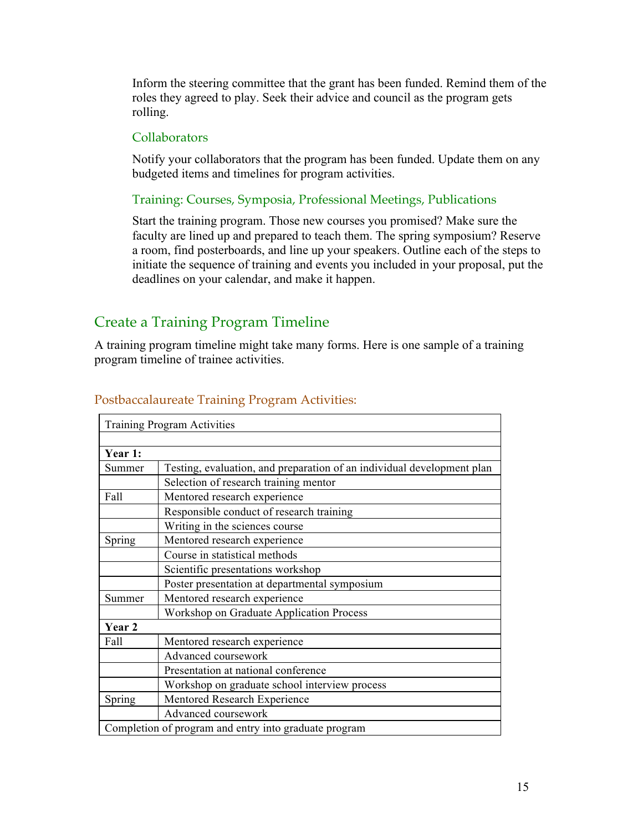Inform the steering committee that the grant has been funded. Remind them of the roles they agreed to play. Seek their advice and council as the program gets rolling.

### **Collaborators**

Notify your collaborators that the program has been funded. Update them on any budgeted items and timelines for program activities.

### Training: Courses, Symposia, Professional Meetings, Publications

Start the training program. Those new courses you promised? Make sure the faculty are lined up and prepared to teach them. The spring symposium? Reserve a room, find posterboards, and line up your speakers. Outline each of the steps to initiate the sequence of training and events you included in your proposal, put the deadlines on your calendar, and make it happen.

# Create a Training Program Timeline

A training program timeline might take many forms. Here is one sample of a training program timeline of trainee activities.

|         | <b>Training Program Activities</b>                                     |  |  |
|---------|------------------------------------------------------------------------|--|--|
|         |                                                                        |  |  |
| Year 1: |                                                                        |  |  |
| Summer  | Testing, evaluation, and preparation of an individual development plan |  |  |
|         | Selection of research training mentor                                  |  |  |
| Fall    | Mentored research experience                                           |  |  |
|         | Responsible conduct of research training                               |  |  |
|         | Writing in the sciences course                                         |  |  |
| Spring  | Mentored research experience                                           |  |  |
|         | Course in statistical methods                                          |  |  |
|         | Scientific presentations workshop                                      |  |  |
|         | Poster presentation at departmental symposium                          |  |  |
| Summer  | Mentored research experience                                           |  |  |
|         | Workshop on Graduate Application Process                               |  |  |
| Year 2  |                                                                        |  |  |
| Fall    | Mentored research experience                                           |  |  |
|         | Advanced coursework                                                    |  |  |
|         | Presentation at national conference                                    |  |  |
|         | Workshop on graduate school interview process                          |  |  |
| Spring  | Mentored Research Experience                                           |  |  |
|         | Advanced coursework                                                    |  |  |
|         | Completion of program and entry into graduate program                  |  |  |

### Postbaccalaureate Training Program Activities: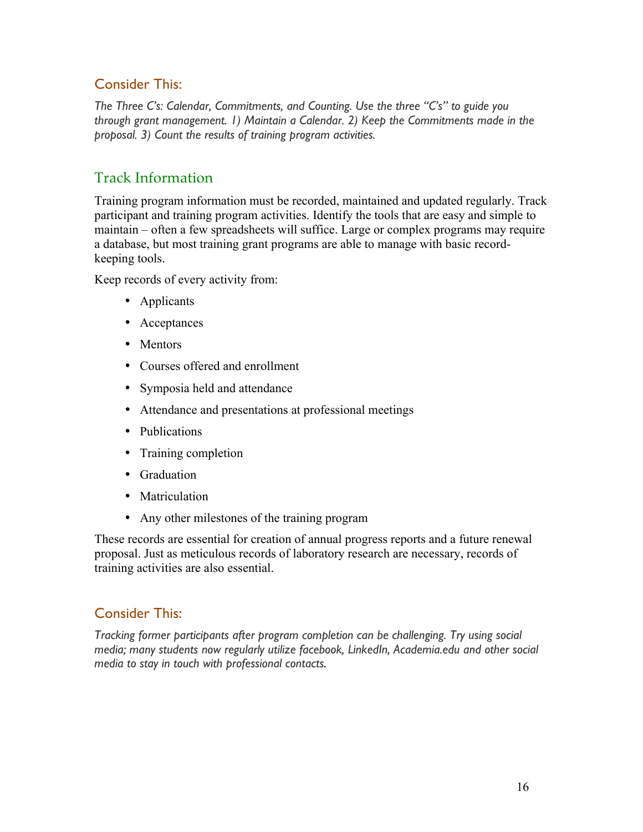### Consider This:

*The Three C's: Calendar, Commitments, and Counting. Use the three "C's" to guide you through grant management. 1) Maintain a Calendar. 2) Keep the Commitments made in the proposal. 3) Count the results of training program activities.*

# Track Information

Training program information must be recorded, maintained and updated regularly. Track participant and training program activities. Identify the tools that are easy and simple to maintain – often a few spreadsheets will suffice. Large or complex programs may require a database, but most training grant programs are able to manage with basic recordkeeping tools.

Keep records of every activity from:

- Applicants
- Acceptances
- Mentors
- Courses offered and enrollment
- Symposia held and attendance
- Attendance and presentations at professional meetings
- Publications
- Training completion
- Graduation
- Matriculation
- Any other milestones of the training program

These records are essential for creation of annual progress reports and a future renewal proposal. Just as meticulous records of laboratory research are necessary, records of training activities are also essential.

### Consider This:

*Tracking former participants after program completion can be challenging. Try using social media; many students now regularly utilize facebook, LinkedIn, Academia.edu and other social media to stay in touch with professional contacts.*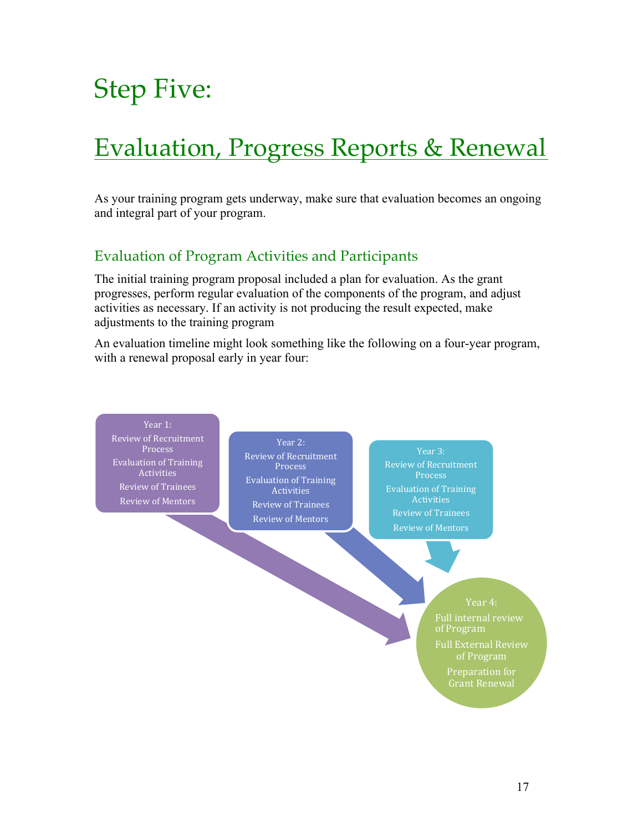# Step Five:

# Evaluation, Progress Reports & Renewal

As your training program gets underway, make sure that evaluation becomes an ongoing and integral part of your program.

# Evaluation of Program Activities and Participants

The initial training program proposal included a plan for evaluation. As the grant progresses, perform regular evaluation of the components of the program, and adjust activities as necessary. If an activity is not producing the result expected, make adjustments to the training program

An evaluation timeline might look something like the following on a four-year program, with a renewal proposal early in year four:

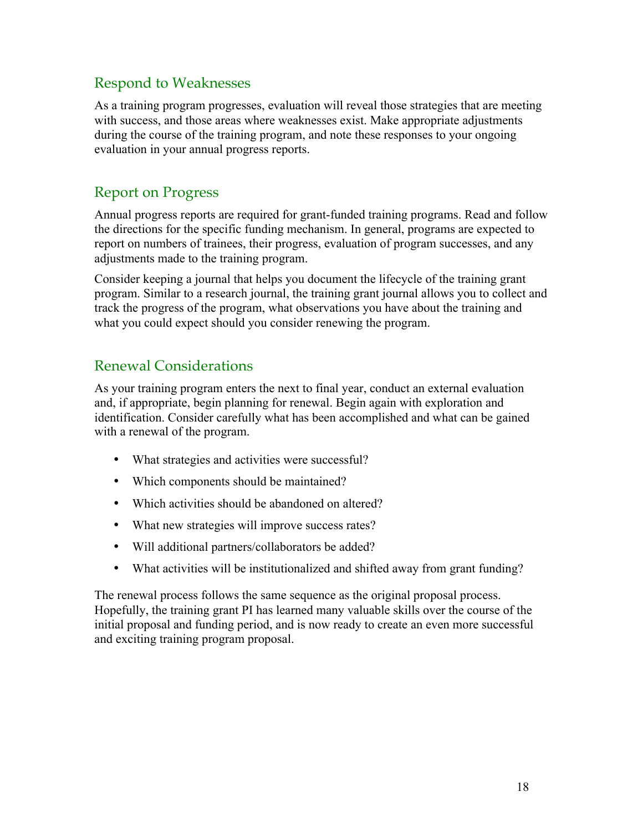# Respond to Weaknesses

As a training program progresses, evaluation will reveal those strategies that are meeting with success, and those areas where weaknesses exist. Make appropriate adjustments during the course of the training program, and note these responses to your ongoing evaluation in your annual progress reports.

# Report on Progress

Annual progress reports are required for grant-funded training programs. Read and follow the directions for the specific funding mechanism. In general, programs are expected to report on numbers of trainees, their progress, evaluation of program successes, and any adjustments made to the training program.

Consider keeping a journal that helps you document the lifecycle of the training grant program. Similar to a research journal, the training grant journal allows you to collect and track the progress of the program, what observations you have about the training and what you could expect should you consider renewing the program.

# Renewal Considerations

As your training program enters the next to final year, conduct an external evaluation and, if appropriate, begin planning for renewal. Begin again with exploration and identification. Consider carefully what has been accomplished and what can be gained with a renewal of the program.

- What strategies and activities were successful?
- Which components should be maintained?
- Which activities should be abandoned on altered?
- What new strategies will improve success rates?
- Will additional partners/collaborators be added?
- What activities will be institutionalized and shifted away from grant funding?

The renewal process follows the same sequence as the original proposal process. Hopefully, the training grant PI has learned many valuable skills over the course of the initial proposal and funding period, and is now ready to create an even more successful and exciting training program proposal.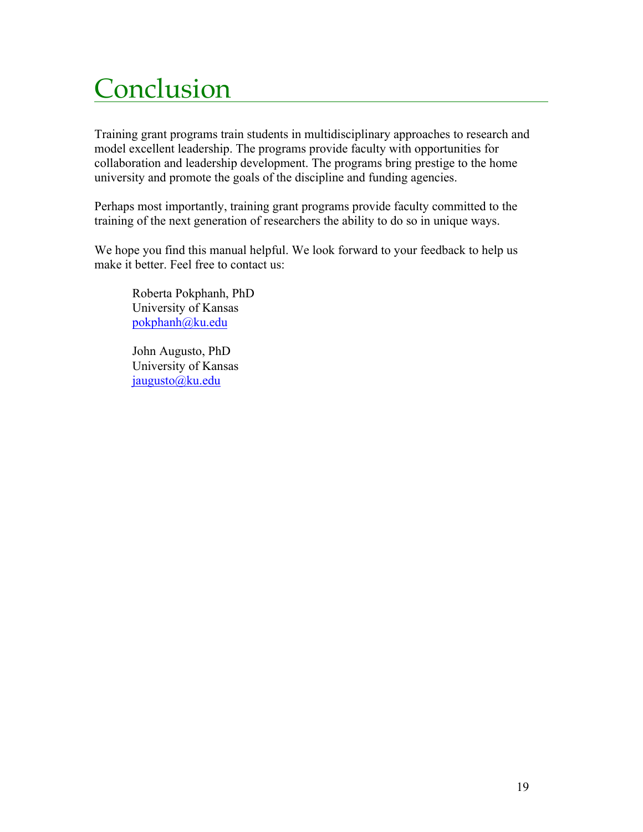# Conclusion

Training grant programs train students in multidisciplinary approaches to research and model excellent leadership. The programs provide faculty with opportunities for collaboration and leadership development. The programs bring prestige to the home university and promote the goals of the discipline and funding agencies.

Perhaps most importantly, training grant programs provide faculty committed to the training of the next generation of researchers the ability to do so in unique ways.

We hope you find this manual helpful. We look forward to your feedback to help us make it better. Feel free to contact us:

Roberta Pokphanh, PhD University of Kansas pokphanh@ku.edu

John Augusto, PhD University of Kansas jaugusto@ku.edu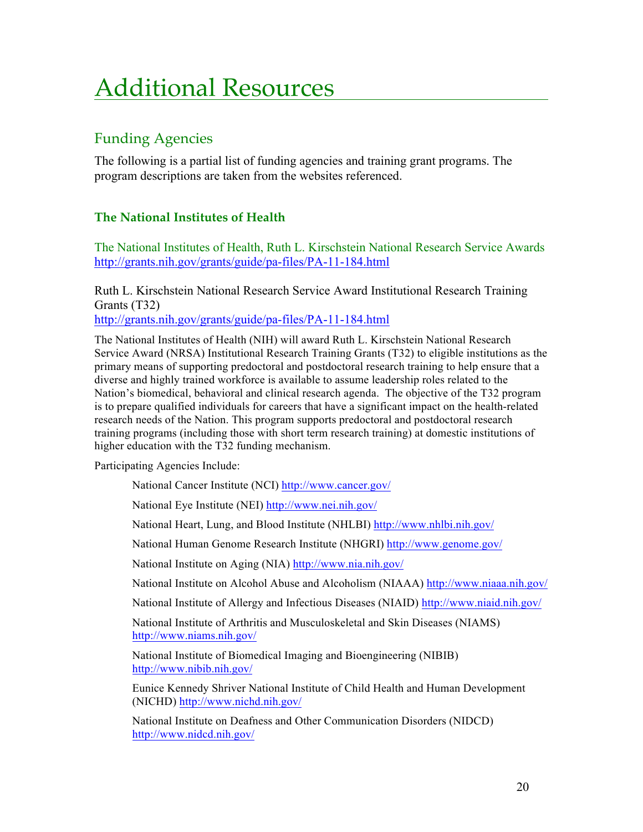# Additional Resources

# Funding Agencies

The following is a partial list of funding agencies and training grant programs. The program descriptions are taken from the websites referenced.

### **The National Institutes of Health**

The National Institutes of Health, Ruth L. Kirschstein National Research Service Awards http://grants.nih.gov/grants/guide/pa-files/PA-11-184.html

Ruth L. Kirschstein National Research Service Award Institutional Research Training Grants (T32)

http://grants.nih.gov/grants/guide/pa-files/PA-11-184.html

The National Institutes of Health (NIH) will award Ruth L. Kirschstein National Research Service Award (NRSA) Institutional Research Training Grants (T32) to eligible institutions as the primary means of supporting predoctoral and postdoctoral research training to help ensure that a diverse and highly trained workforce is available to assume leadership roles related to the Nation's biomedical, behavioral and clinical research agenda. The objective of the T32 program is to prepare qualified individuals for careers that have a significant impact on the health-related research needs of the Nation. This program supports predoctoral and postdoctoral research training programs (including those with short term research training) at domestic institutions of higher education with the T32 funding mechanism.

Participating Agencies Include:

National Cancer Institute (NCI) http://www.cancer.gov/

National Eye Institute (NEI) http://www.nei.nih.gov/

National Heart, Lung, and Blood Institute (NHLBI) http://www.nhlbi.nih.gov/

National Human Genome Research Institute (NHGRI) http://www.genome.gov/

National Institute on Aging (NIA) http://www.nia.nih.gov/

National Institute on Alcohol Abuse and Alcoholism (NIAAA) http://www.niaaa.nih.gov/

National Institute of Allergy and Infectious Diseases (NIAID) http://www.niaid.nih.gov/

National Institute of Arthritis and Musculoskeletal and Skin Diseases (NIAMS) http://www.niams.nih.gov/

National Institute of Biomedical Imaging and Bioengineering (NIBIB) http://www.nibib.nih.gov/

Eunice Kennedy Shriver National Institute of Child Health and Human Development (NICHD) http://www.nichd.nih.gov/

National Institute on Deafness and Other Communication Disorders (NIDCD) http://www.nidcd.nih.gov/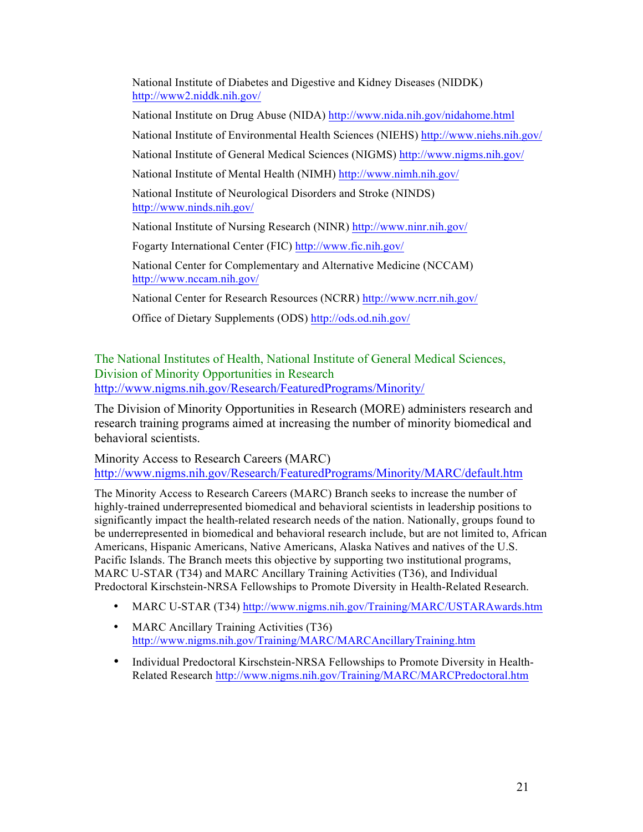National Institute of Diabetes and Digestive and Kidney Diseases (NIDDK) http://www2.niddk.nih.gov/ National Institute on Drug Abuse (NIDA) http://www.nida.nih.gov/nidahome.html National Institute of Environmental Health Sciences (NIEHS) http://www.niehs.nih.gov/ National Institute of General Medical Sciences (NIGMS) http://www.nigms.nih.gov/ National Institute of Mental Health (NIMH) http://www.nimh.nih.gov/ National Institute of Neurological Disorders and Stroke (NINDS) http://www.ninds.nih.gov/ National Institute of Nursing Research (NINR) http://www.ninr.nih.gov/ Fogarty International Center (FIC) http://www.fic.nih.gov/ National Center for Complementary and Alternative Medicine (NCCAM) http://www.nccam.nih.gov/

National Center for Research Resources (NCRR) http://www.ncrr.nih.gov/

Office of Dietary Supplements (ODS) http://ods.od.nih.gov/

The National Institutes of Health, National Institute of General Medical Sciences, Division of Minority Opportunities in Research http://www.nigms.nih.gov/Research/FeaturedPrograms/Minority/

The Division of Minority Opportunities in Research (MORE) administers research and research training programs aimed at increasing the number of minority biomedical and behavioral scientists.

Minority Access to Research Careers (MARC) http://www.nigms.nih.gov/Research/FeaturedPrograms/Minority/MARC/default.htm

The Minority Access to Research Careers (MARC) Branch seeks to increase the number of highly-trained underrepresented biomedical and behavioral scientists in leadership positions to significantly impact the health-related research needs of the nation. Nationally, groups found to be underrepresented in biomedical and behavioral research include, but are not limited to, African Americans, Hispanic Americans, Native Americans, Alaska Natives and natives of the U.S. Pacific Islands. The Branch meets this objective by supporting two institutional programs, MARC U-STAR (T34) and MARC Ancillary Training Activities (T36), and Individual Predoctoral Kirschstein-NRSA Fellowships to Promote Diversity in Health-Related Research.

- MARC U-STAR (T34) http://www.nigms.nih.gov/Training/MARC/USTARAwards.htm
- MARC Ancillary Training Activities (T36) http://www.nigms.nih.gov/Training/MARC/MARCAncillaryTraining.htm
- Individual Predoctoral Kirschstein-NRSA Fellowships to Promote Diversity in Health-Related Research http://www.nigms.nih.gov/Training/MARC/MARCPredoctoral.htm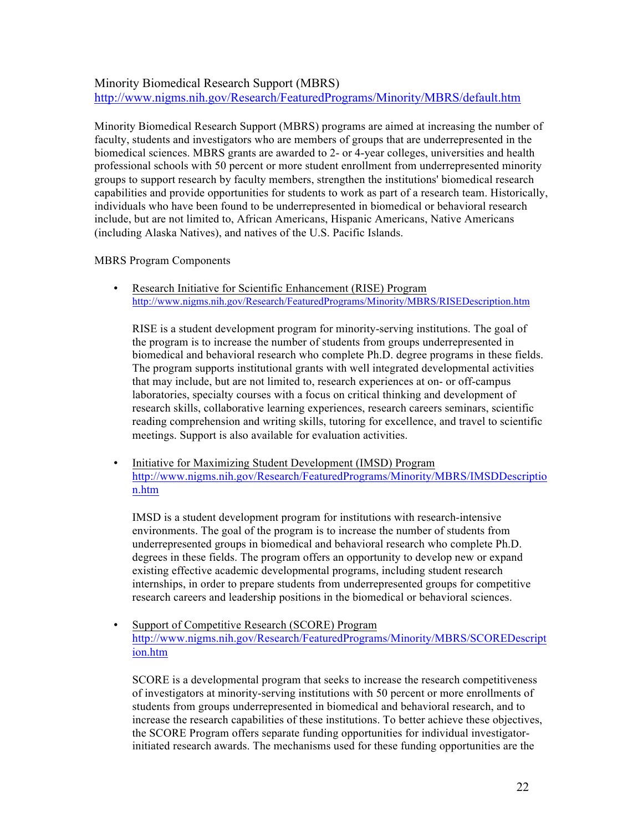#### Minority Biomedical Research Support (MBRS) http://www.nigms.nih.gov/Research/FeaturedPrograms/Minority/MBRS/default.htm

Minority Biomedical Research Support (MBRS) programs are aimed at increasing the number of faculty, students and investigators who are members of groups that are underrepresented in the biomedical sciences. MBRS grants are awarded to 2- or 4-year colleges, universities and health professional schools with 50 percent or more student enrollment from underrepresented minority groups to support research by faculty members, strengthen the institutions' biomedical research capabilities and provide opportunities for students to work as part of a research team. Historically, individuals who have been found to be underrepresented in biomedical or behavioral research include, but are not limited to, African Americans, Hispanic Americans, Native Americans (including Alaska Natives), and natives of the U.S. Pacific Islands.

#### MBRS Program Components

• Research Initiative for Scientific Enhancement (RISE) Program http://www.nigms.nih.gov/Research/FeaturedPrograms/Minority/MBRS/RISEDescription.htm

RISE is a student development program for minority-serving institutions. The goal of the program is to increase the number of students from groups underrepresented in biomedical and behavioral research who complete Ph.D. degree programs in these fields. The program supports institutional grants with well integrated developmental activities that may include, but are not limited to, research experiences at on- or off-campus laboratories, specialty courses with a focus on critical thinking and development of research skills, collaborative learning experiences, research careers seminars, scientific reading comprehension and writing skills, tutoring for excellence, and travel to scientific meetings. Support is also available for evaluation activities.

• Initiative for Maximizing Student Development (IMSD) Program http://www.nigms.nih.gov/Research/FeaturedPrograms/Minority/MBRS/IMSDDescriptio n.htm

IMSD is a student development program for institutions with research-intensive environments. The goal of the program is to increase the number of students from underrepresented groups in biomedical and behavioral research who complete Ph.D. degrees in these fields. The program offers an opportunity to develop new or expand existing effective academic developmental programs, including student research internships, in order to prepare students from underrepresented groups for competitive research careers and leadership positions in the biomedical or behavioral sciences.

• Support of Competitive Research (SCORE) Program http://www.nigms.nih.gov/Research/FeaturedPrograms/Minority/MBRS/SCOREDescript ion.htm

SCORE is a developmental program that seeks to increase the research competitiveness of investigators at minority-serving institutions with 50 percent or more enrollments of students from groups underrepresented in biomedical and behavioral research, and to increase the research capabilities of these institutions. To better achieve these objectives, the SCORE Program offers separate funding opportunities for individual investigatorinitiated research awards. The mechanisms used for these funding opportunities are the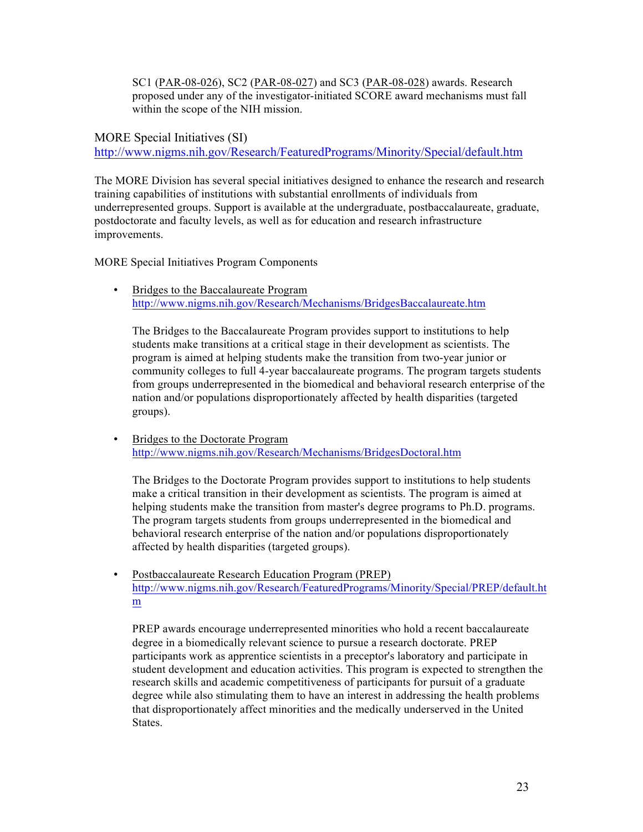SC1 (PAR-08-026), SC2 (PAR-08-027) and SC3 (PAR-08-028) awards. Research proposed under any of the investigator-initiated SCORE award mechanisms must fall within the scope of the NIH mission.

MORE Special Initiatives (SI) http://www.nigms.nih.gov/Research/FeaturedPrograms/Minority/Special/default.htm

The MORE Division has several special initiatives designed to enhance the research and research training capabilities of institutions with substantial enrollments of individuals from underrepresented groups. Support is available at the undergraduate, postbaccalaureate, graduate, postdoctorate and faculty levels, as well as for education and research infrastructure improvements.

MORE Special Initiatives Program Components

• Bridges to the Baccalaureate Program http://www.nigms.nih.gov/Research/Mechanisms/BridgesBaccalaureate.htm

The Bridges to the Baccalaureate Program provides support to institutions to help students make transitions at a critical stage in their development as scientists. The program is aimed at helping students make the transition from two-year junior or community colleges to full 4-year baccalaureate programs. The program targets students from groups underrepresented in the biomedical and behavioral research enterprise of the nation and/or populations disproportionately affected by health disparities (targeted groups).

• Bridges to the Doctorate Program http://www.nigms.nih.gov/Research/Mechanisms/BridgesDoctoral.htm

The Bridges to the Doctorate Program provides support to institutions to help students make a critical transition in their development as scientists. The program is aimed at helping students make the transition from master's degree programs to Ph.D. programs. The program targets students from groups underrepresented in the biomedical and behavioral research enterprise of the nation and/or populations disproportionately affected by health disparities (targeted groups).

• Postbaccalaureate Research Education Program (PREP) http://www.nigms.nih.gov/Research/FeaturedPrograms/Minority/Special/PREP/default.ht m

PREP awards encourage underrepresented minorities who hold a recent baccalaureate degree in a biomedically relevant science to pursue a research doctorate. PREP participants work as apprentice scientists in a preceptor's laboratory and participate in student development and education activities. This program is expected to strengthen the research skills and academic competitiveness of participants for pursuit of a graduate degree while also stimulating them to have an interest in addressing the health problems that disproportionately affect minorities and the medically underserved in the United States.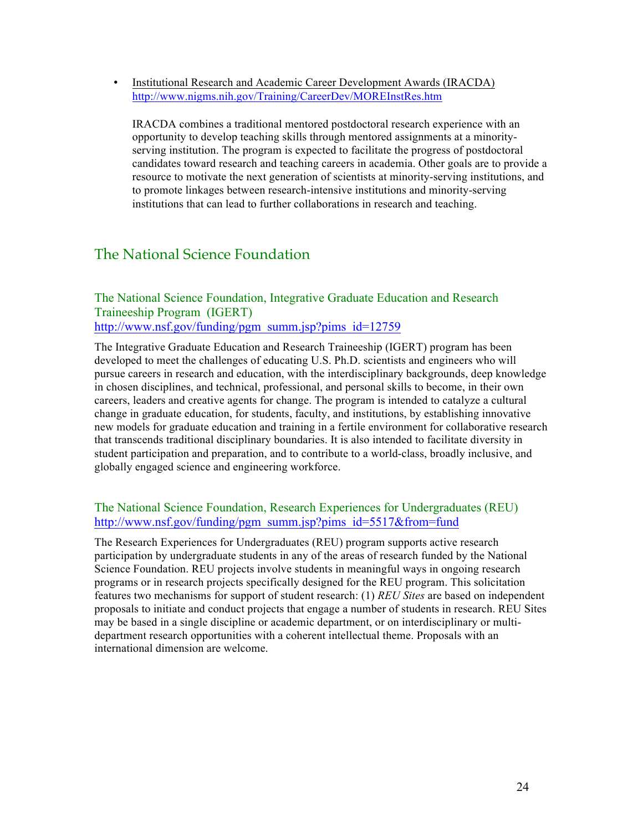• Institutional Research and Academic Career Development Awards (IRACDA) http://www.nigms.nih.gov/Training/CareerDev/MOREInstRes.htm

IRACDA combines a traditional mentored postdoctoral research experience with an opportunity to develop teaching skills through mentored assignments at a minorityserving institution. The program is expected to facilitate the progress of postdoctoral candidates toward research and teaching careers in academia. Other goals are to provide a resource to motivate the next generation of scientists at minority-serving institutions, and to promote linkages between research-intensive institutions and minority-serving institutions that can lead to further collaborations in research and teaching.

### The National Science Foundation

### The National Science Foundation, Integrative Graduate Education and Research Traineeship Program (IGERT) http://www.nsf.gov/funding/pgm\_summ.jsp?pims\_id=12759

The Integrative Graduate Education and Research Traineeship (IGERT) program has been developed to meet the challenges of educating U.S. Ph.D. scientists and engineers who will pursue careers in research and education, with the interdisciplinary backgrounds, deep knowledge in chosen disciplines, and technical, professional, and personal skills to become, in their own careers, leaders and creative agents for change. The program is intended to catalyze a cultural change in graduate education, for students, faculty, and institutions, by establishing innovative new models for graduate education and training in a fertile environment for collaborative research that transcends traditional disciplinary boundaries. It is also intended to facilitate diversity in student participation and preparation, and to contribute to a world-class, broadly inclusive, and globally engaged science and engineering workforce.

### The National Science Foundation, Research Experiences for Undergraduates (REU) http://www.nsf.gov/funding/pgm\_summ.jsp?pims\_id=5517&from=fund

The Research Experiences for Undergraduates (REU) program supports active research participation by undergraduate students in any of the areas of research funded by the National Science Foundation. REU projects involve students in meaningful ways in ongoing research programs or in research projects specifically designed for the REU program. This solicitation features two mechanisms for support of student research: (1) *REU Sites* are based on independent proposals to initiate and conduct projects that engage a number of students in research. REU Sites may be based in a single discipline or academic department, or on interdisciplinary or multidepartment research opportunities with a coherent intellectual theme. Proposals with an international dimension are welcome.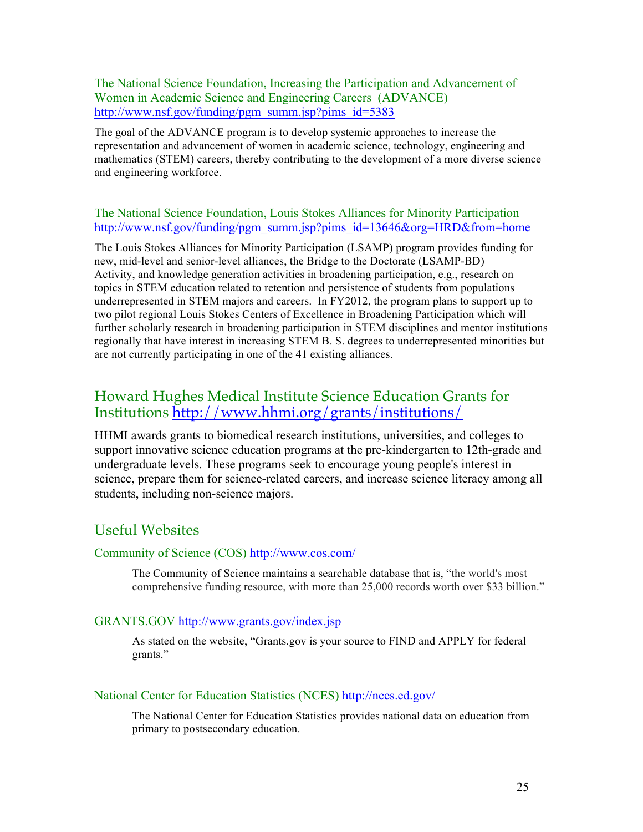The National Science Foundation, Increasing the Participation and Advancement of Women in Academic Science and Engineering Careers (ADVANCE) http://www.nsf.gov/funding/pgm\_summ.jsp?pims\_id=5383

The goal of the ADVANCE program is to develop systemic approaches to increase the representation and advancement of women in academic science, technology, engineering and mathematics (STEM) careers, thereby contributing to the development of a more diverse science and engineering workforce.

#### The National Science Foundation, Louis Stokes Alliances for Minority Participation http://www.nsf.gov/funding/pgm\_summ.jsp?pims\_id=13646&org=HRD&from=home

The Louis Stokes Alliances for Minority Participation (LSAMP) program provides funding for new, mid-level and senior-level alliances, the Bridge to the Doctorate (LSAMP-BD) Activity, and knowledge generation activities in broadening participation, e.g., research on topics in STEM education related to retention and persistence of students from populations underrepresented in STEM majors and careers. In FY2012, the program plans to support up to two pilot regional Louis Stokes Centers of Excellence in Broadening Participation which will further scholarly research in broadening participation in STEM disciplines and mentor institutions regionally that have interest in increasing STEM B. S. degrees to underrepresented minorities but are not currently participating in one of the 41 existing alliances.

### Howard Hughes Medical Institute Science Education Grants for Institutions http://www.hhmi.org/grants/institutions/

HHMI awards grants to biomedical research institutions, universities, and colleges to support innovative science education programs at the pre-kindergarten to 12th-grade and undergraduate levels. These programs seek to encourage young people's interest in science, prepare them for science-related careers, and increase science literacy among all students, including non-science majors.

### Useful Websites

#### Community of Science (COS) http://www.cos.com/

The Community of Science maintains a searchable database that is, "the world's most comprehensive funding resource, with more than 25,000 records worth over \$33 billion."

#### GRANTS.GOV http://www.grants.gov/index.jsp

As stated on the website, "Grants.gov is your source to FIND and APPLY for federal grants."

#### National Center for Education Statistics (NCES) http://nces.ed.gov/

The National Center for Education Statistics provides national data on education from primary to postsecondary education.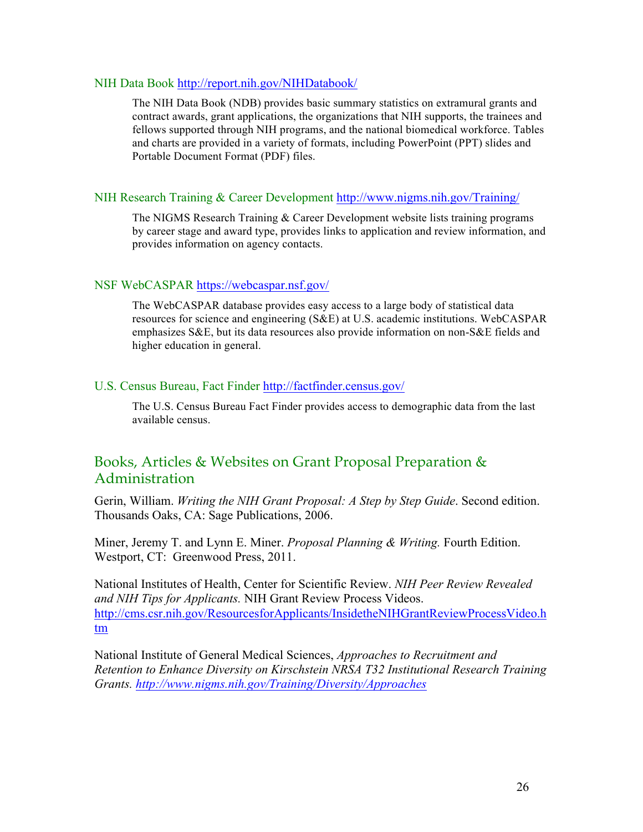#### NIH Data Book http://report.nih.gov/NIHDatabook/

The NIH Data Book (NDB) provides basic summary statistics on extramural grants and contract awards, grant applications, the organizations that NIH supports, the trainees and fellows supported through NIH programs, and the national biomedical workforce. Tables and charts are provided in a variety of formats, including PowerPoint (PPT) slides and Portable Document Format (PDF) files.

#### NIH Research Training & Career Development http://www.nigms.nih.gov/Training/

The NIGMS Research Training & Career Development website lists training programs by career stage and award type, provides links to application and review information, and provides information on agency contacts.

#### NSF WebCASPAR https://webcaspar.nsf.gov/

The WebCASPAR database provides easy access to a large body of statistical data resources for science and engineering (S&E) at U.S. academic institutions. WebCASPAR emphasizes S&E, but its data resources also provide information on non-S&E fields and higher education in general.

#### U.S. Census Bureau, Fact Finder http://factfinder.census.gov/

The U.S. Census Bureau Fact Finder provides access to demographic data from the last available census.

### Books, Articles & Websites on Grant Proposal Preparation & Administration

Gerin, William. *Writing the NIH Grant Proposal: A Step by Step Guide*. Second edition. Thousands Oaks, CA: Sage Publications, 2006.

Miner, Jeremy T. and Lynn E. Miner. *Proposal Planning & Writing.* Fourth Edition. Westport, CT: Greenwood Press, 2011.

National Institutes of Health, Center for Scientific Review. *NIH Peer Review Revealed and NIH Tips for Applicants.* NIH Grant Review Process Videos. http://cms.csr.nih.gov/ResourcesforApplicants/InsidetheNIHGrantReviewProcessVideo.h tm

National Institute of General Medical Sciences, *Approaches to Recruitment and Retention to Enhance Diversity on Kirschstein NRSA T32 Institutional Research Training Grants. http://www.nigms.nih.gov/Training/Diversity/Approaches*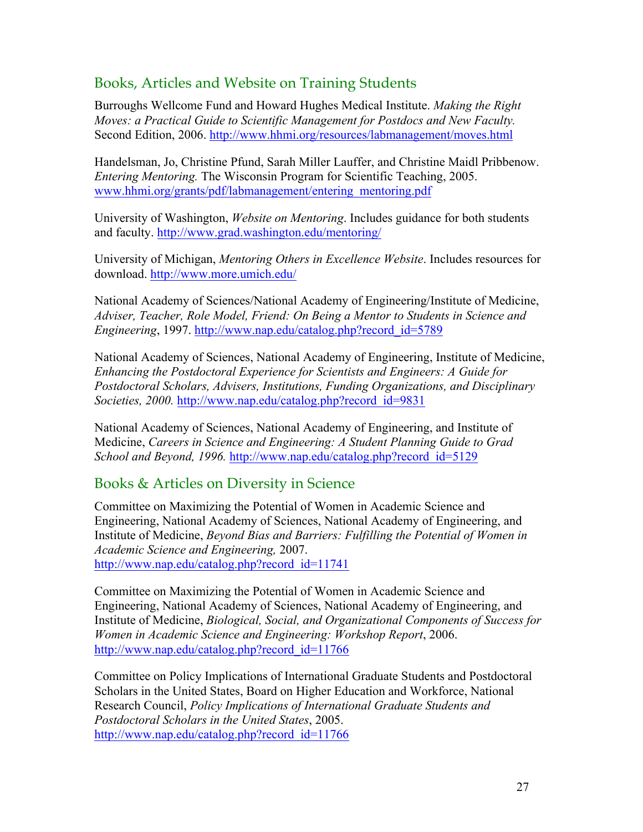# Books, Articles and Website on Training Students

Burroughs Wellcome Fund and Howard Hughes Medical Institute. *Making the Right Moves: a Practical Guide to Scientific Management for Postdocs and New Faculty.* Second Edition, 2006. http://www.hhmi.org/resources/labmanagement/moves.html

Handelsman, Jo, Christine Pfund, Sarah Miller Lauffer, and Christine Maidl Pribbenow. *Entering Mentoring.* The Wisconsin Program for Scientific Teaching, 2005. www.hhmi.org/grants/pdf/labmanagement/entering\_mentoring.pdf

University of Washington, *Website on Mentoring*. Includes guidance for both students and faculty. http://www.grad.washington.edu/mentoring/

University of Michigan, *Mentoring Others in Excellence Website*. Includes resources for download. http://www.more.umich.edu/

National Academy of Sciences/National Academy of Engineering/Institute of Medicine, *Adviser, Teacher, Role Model, Friend: On Being a Mentor to Students in Science and Engineering*, 1997. http://www.nap.edu/catalog.php?record\_id=5789

National Academy of Sciences, National Academy of Engineering, Institute of Medicine, *Enhancing the Postdoctoral Experience for Scientists and Engineers: A Guide for Postdoctoral Scholars, Advisers, Institutions, Funding Organizations, and Disciplinary Societies, 2000.* http://www.nap.edu/catalog.php?record\_id=9831

National Academy of Sciences, National Academy of Engineering, and Institute of Medicine, *Careers in Science and Engineering: A Student Planning Guide to Grad School and Beyond, 1996.* http://www.nap.edu/catalog.php?record\_id=5129

### Books & Articles on Diversity in Science

Committee on Maximizing the Potential of Women in Academic Science and Engineering, National Academy of Sciences, National Academy of Engineering, and Institute of Medicine, *Beyond Bias and Barriers: Fulfilling the Potential of Women in Academic Science and Engineering,* 2007. http://www.nap.edu/catalog.php?record\_id=11741

Committee on Maximizing the Potential of Women in Academic Science and Engineering, National Academy of Sciences, National Academy of Engineering, and Institute of Medicine, *Biological, Social, and Organizational Components of Success for Women in Academic Science and Engineering: Workshop Report*, 2006. http://www.nap.edu/catalog.php?record\_id=11766

Committee on Policy Implications of International Graduate Students and Postdoctoral Scholars in the United States, Board on Higher Education and Workforce, National Research Council, *Policy Implications of International Graduate Students and Postdoctoral Scholars in the United States*, 2005. http://www.nap.edu/catalog.php?record\_id=11766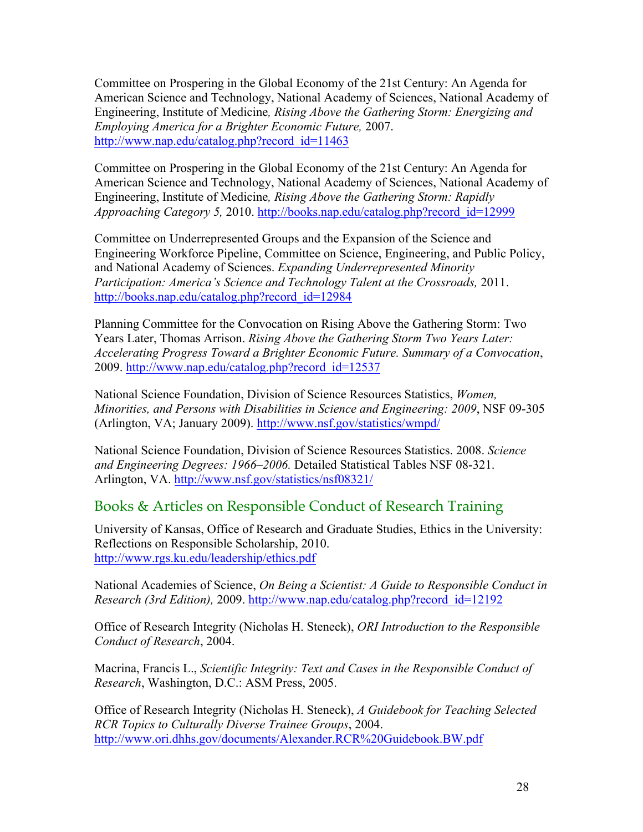Committee on Prospering in the Global Economy of the 21st Century: An Agenda for American Science and Technology, National Academy of Sciences, National Academy of Engineering, Institute of Medicine*, Rising Above the Gathering Storm: Energizing and Employing America for a Brighter Economic Future,* 2007. http://www.nap.edu/catalog.php?record\_id=11463

Committee on Prospering in the Global Economy of the 21st Century: An Agenda for American Science and Technology, National Academy of Sciences, National Academy of Engineering, Institute of Medicine*, Rising Above the Gathering Storm: Rapidly Approaching Category 5,* 2010. http://books.nap.edu/catalog.php?record\_id=12999

Committee on Underrepresented Groups and the Expansion of the Science and Engineering Workforce Pipeline, Committee on Science, Engineering, and Public Policy, and National Academy of Sciences. *Expanding Underrepresented Minority Participation: America's Science and Technology Talent at the Crossroads, 2011.* http://books.nap.edu/catalog.php?record\_id=12984

Planning Committee for the Convocation on Rising Above the Gathering Storm: Two Years Later, Thomas Arrison. *Rising Above the Gathering Storm Two Years Later: Accelerating Progress Toward a Brighter Economic Future. Summary of a Convocation*, 2009. http://www.nap.edu/catalog.php?record\_id=12537

National Science Foundation, Division of Science Resources Statistics, *Women, Minorities, and Persons with Disabilities in Science and Engineering: 2009*, NSF 09-305 (Arlington, VA; January 2009). http://www.nsf.gov/statistics/wmpd/

National Science Foundation, Division of Science Resources Statistics. 2008. *Science and Engineering Degrees: 1966–2006.* Detailed Statistical Tables NSF 08-321. Arlington, VA. http://www.nsf.gov/statistics/nsf08321/

### Books & Articles on Responsible Conduct of Research Training

University of Kansas, Office of Research and Graduate Studies, Ethics in the University: Reflections on Responsible Scholarship, 2010. http://www.rgs.ku.edu/leadership/ethics.pdf

National Academies of Science, *On Being a Scientist: A Guide to Responsible Conduct in Research (3rd Edition),* 2009. http://www.nap.edu/catalog.php?record\_id=12192

Office of Research Integrity (Nicholas H. Steneck), *ORI Introduction to the Responsible Conduct of Research*, 2004.

Macrina, Francis L., *Scientific Integrity: Text and Cases in the Responsible Conduct of Research*, Washington, D.C.: ASM Press, 2005.

Office of Research Integrity (Nicholas H. Steneck), *A Guidebook for Teaching Selected RCR Topics to Culturally Diverse Trainee Groups*, 2004. http://www.ori.dhhs.gov/documents/Alexander.RCR%20Guidebook.BW.pdf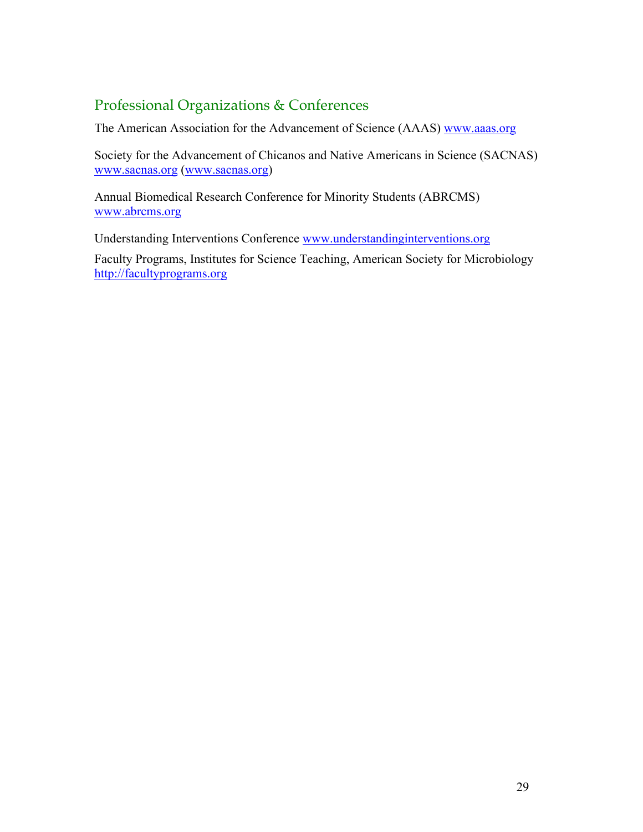# Professional Organizations & Conferences

The American Association for the Advancement of Science (AAAS) www.aaas.org

Society for the Advancement of Chicanos and Native Americans in Science (SACNAS) www.sacnas.org (www.sacnas.org)

Annual Biomedical Research Conference for Minority Students (ABRCMS) www.abrcms.org

Understanding Interventions Conference www.understandinginterventions.org

Faculty Programs, Institutes for Science Teaching, American Society for Microbiology http://facultyprograms.org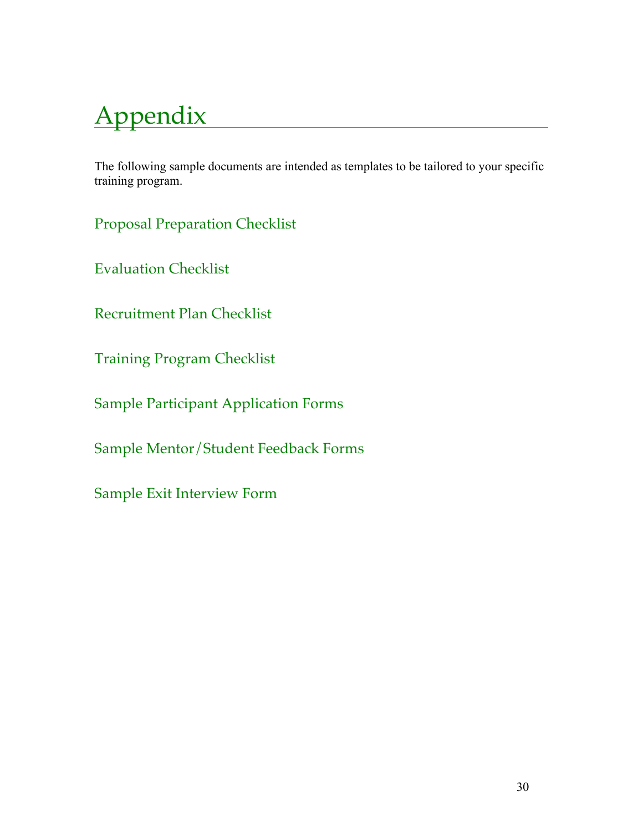# Appendix

The following sample documents are intended as templates to be tailored to your specific training program.

Proposal Preparation Checklist

Evaluation Checklist

Recruitment Plan Checklist

Training Program Checklist

Sample Participant Application Forms

Sample Mentor/Student Feedback Forms

Sample Exit Interview Form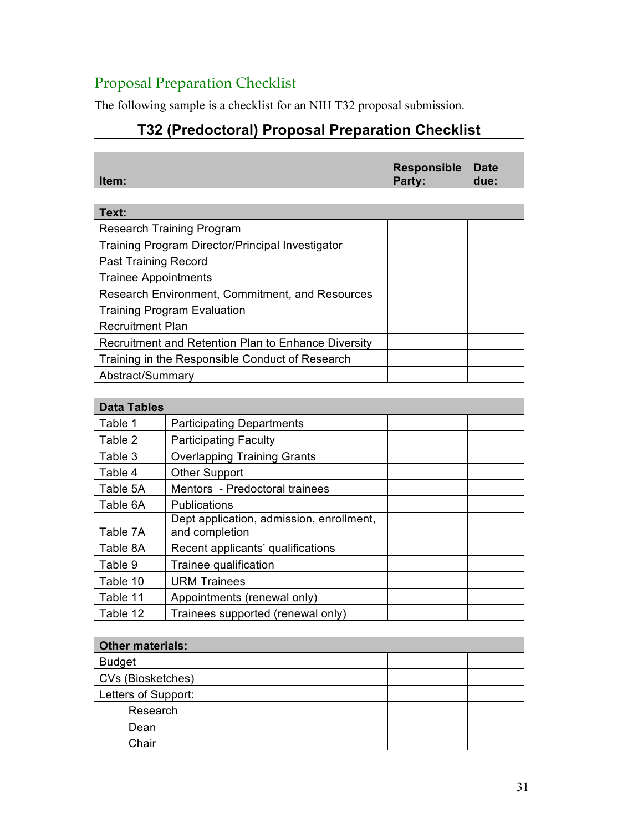# Proposal Preparation Checklist

The following sample is a checklist for an NIH T32 proposal submission.

# **T32 (Predoctoral) Proposal Preparation Checklist**

| Item: | Responsible Date<br>Party: | due: |
|-------|----------------------------|------|
|       |                            |      |
| Text: |                            |      |
|       |                            |      |

| Research Training Program                           |  |  |
|-----------------------------------------------------|--|--|
| Training Program Director/Principal Investigator    |  |  |
| Past Training Record                                |  |  |
| <b>Trainee Appointments</b>                         |  |  |
| Research Environment, Commitment, and Resources     |  |  |
| <b>Training Program Evaluation</b>                  |  |  |
| <b>Recruitment Plan</b>                             |  |  |
| Recruitment and Retention Plan to Enhance Diversity |  |  |
| Training in the Responsible Conduct of Research     |  |  |
| Abstract/Summary                                    |  |  |

# **Data Tables**

| Dala Tables                                                |  |  |
|------------------------------------------------------------|--|--|
| <b>Participating Departments</b>                           |  |  |
| <b>Participating Faculty</b>                               |  |  |
| <b>Overlapping Training Grants</b>                         |  |  |
| <b>Other Support</b>                                       |  |  |
| Mentors - Predoctoral trainees                             |  |  |
| <b>Publications</b>                                        |  |  |
| Dept application, admission, enrollment,<br>and completion |  |  |
| Recent applicants' qualifications                          |  |  |
| Trainee qualification                                      |  |  |
| <b>URM Trainees</b>                                        |  |  |
| Appointments (renewal only)                                |  |  |
| Trainees supported (renewal only)                          |  |  |
|                                                            |  |  |

### **Other materials:**

| <b>Budget</b>       |          |  |  |
|---------------------|----------|--|--|
| CVs (Biosketches)   |          |  |  |
| Letters of Support: |          |  |  |
|                     | Research |  |  |
|                     | Dean     |  |  |
|                     | Chair    |  |  |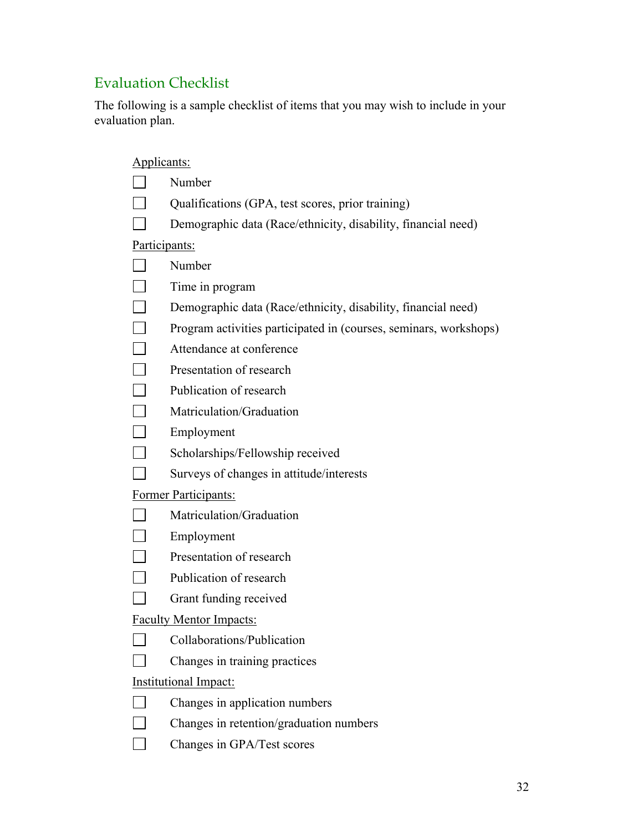# Evaluation Checklist

The following is a sample checklist of items that you may wish to include in your evaluation plan.

|                                | Applicants:                                                       |  |
|--------------------------------|-------------------------------------------------------------------|--|
|                                | Number                                                            |  |
|                                | Qualifications (GPA, test scores, prior training)                 |  |
|                                | Demographic data (Race/ethnicity, disability, financial need)     |  |
|                                | Participants:                                                     |  |
|                                | Number                                                            |  |
|                                | Time in program                                                   |  |
|                                | Demographic data (Race/ethnicity, disability, financial need)     |  |
|                                | Program activities participated in (courses, seminars, workshops) |  |
|                                | Attendance at conference                                          |  |
|                                | Presentation of research                                          |  |
|                                | Publication of research                                           |  |
|                                | Matriculation/Graduation                                          |  |
|                                | Employment                                                        |  |
|                                | Scholarships/Fellowship received                                  |  |
|                                | Surveys of changes in attitude/interests                          |  |
|                                | Former Participants:                                              |  |
|                                | Matriculation/Graduation                                          |  |
|                                | Employment                                                        |  |
|                                | Presentation of research                                          |  |
|                                | Publication of research                                           |  |
|                                | Grant funding received                                            |  |
| <b>Faculty Mentor Impacts:</b> |                                                                   |  |
|                                | Collaborations/Publication                                        |  |
|                                | Changes in training practices                                     |  |
| <b>Institutional Impact:</b>   |                                                                   |  |
|                                | Changes in application numbers                                    |  |
|                                | Changes in retention/graduation numbers                           |  |
|                                | Changes in GPA/Test scores                                        |  |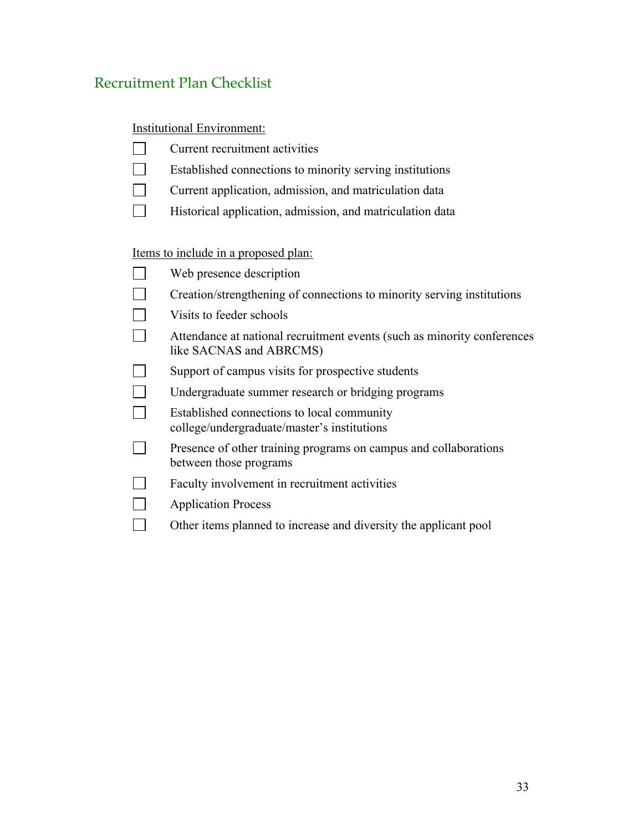# Recruitment Plan Checklist

Institutional Environment:

| Current recruitment activities |
|--------------------------------|
|--------------------------------|

- $\Box$ Established connections to minority serving institutions
- $\Box$ Current application, admission, and matriculation data
- $\Box$ Historical application, admission, and matriculation data

Items to include in a proposed plan:

| Web presence description                                                                           |
|----------------------------------------------------------------------------------------------------|
| Creation/strengthening of connections to minority serving institutions                             |
| Visits to feeder schools                                                                           |
| Attendance at national recruitment events (such as minority conferences<br>like SACNAS and ABRCMS) |
| Support of campus visits for prospective students                                                  |
| Undergraduate summer research or bridging programs                                                 |
| Established connections to local community<br>college/undergraduate/master's institutions          |
| Presence of other training programs on campus and collaborations<br>between those programs         |
| Faculty involvement in recruitment activities                                                      |
| <b>Application Process</b>                                                                         |
| Other items planned to increase and diversity the applicant pool                                   |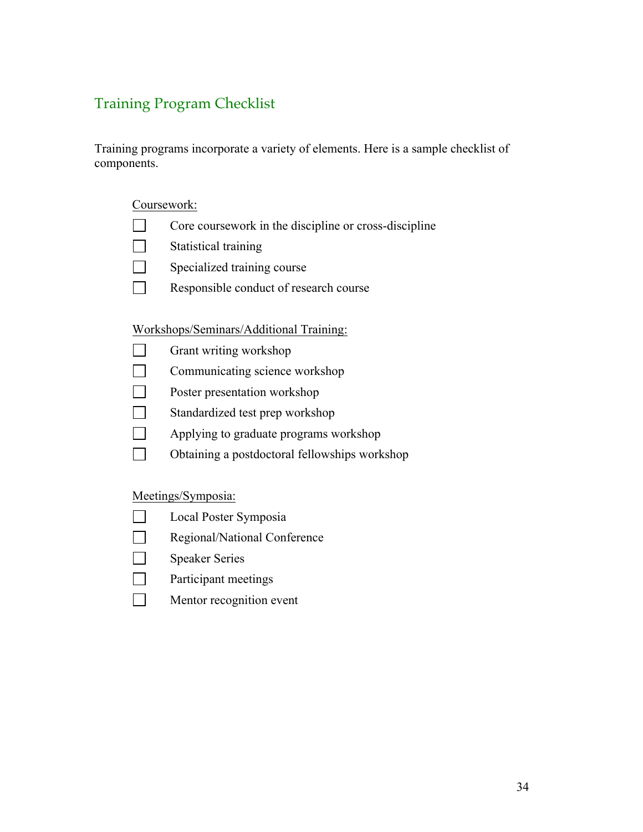# Training Program Checklist

Training programs incorporate a variety of elements. Here is a sample checklist of components.

#### Coursework:

- $\mathcal{L}^{\text{max}}$ Core coursework in the discipline or cross-discipline
- $\Box$ Statistical training
- $\Box$ Specialized training course
- $\Box$ Responsible conduct of research course

#### Workshops/Seminars/Additional Training:

- $\Box$ Grant writing workshop
- $\Box$ Communicating science workshop
- $\Box$ Poster presentation workshop
- П Standardized test prep workshop
- $\Box$ Applying to graduate programs workshop
- $\Box$ Obtaining a postdoctoral fellowships workshop

### Meetings/Symposia:

- Local Poster Symposia  $\Box$
- $\Box$ Regional/National Conference
- $\Box$ Speaker Series
- $\Box$ Participant meetings
- $\Box$ Mentor recognition event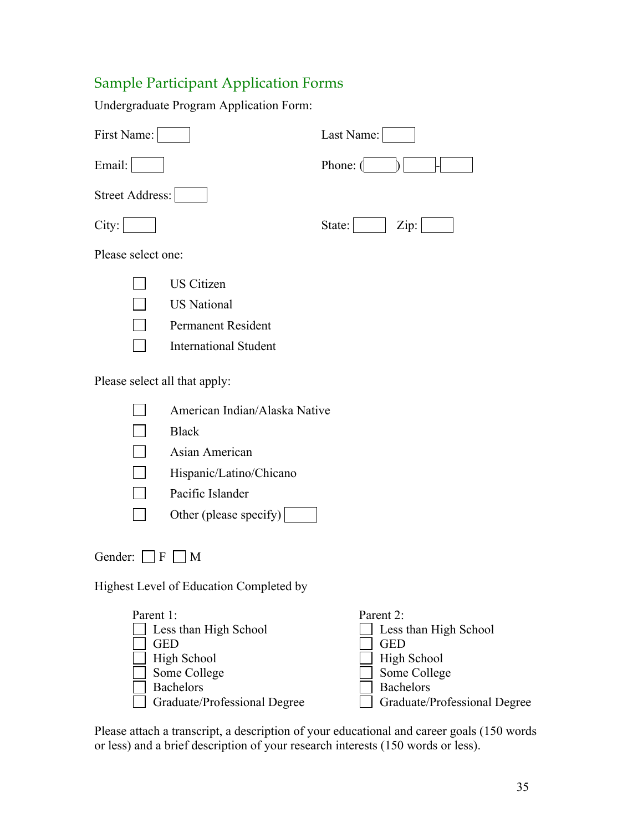# Sample Participant Application Forms

Undergraduate Program Application Form:

| First Name:                                                                       |                                                                                                                          | Last Name:                                                                                                                                 |
|-----------------------------------------------------------------------------------|--------------------------------------------------------------------------------------------------------------------------|--------------------------------------------------------------------------------------------------------------------------------------------|
| Email:                                                                            |                                                                                                                          | Phone: (                                                                                                                                   |
| Street Address:                                                                   |                                                                                                                          |                                                                                                                                            |
| City:                                                                             |                                                                                                                          | State:<br>Zip:                                                                                                                             |
| Please select one:                                                                |                                                                                                                          |                                                                                                                                            |
|                                                                                   | <b>US Citizen</b><br><b>US</b> National<br>Permanent Resident<br><b>International Student</b>                            |                                                                                                                                            |
| Please select all that apply:                                                     |                                                                                                                          |                                                                                                                                            |
| <b>Black</b>                                                                      | American Indian/Alaska Native<br>Asian American<br>Hispanic/Latino/Chicano<br>Pacific Islander<br>Other (please specify) |                                                                                                                                            |
| Gender: $\Box$ F $\Box$ M                                                         |                                                                                                                          |                                                                                                                                            |
|                                                                                   | Highest Level of Education Completed by                                                                                  |                                                                                                                                            |
| Parent 1:<br><b>GED</b><br><b>High School</b><br>Some College<br><b>Bachelors</b> | Less than High School<br>Graduate/Professional Degree                                                                    | Parent 2:<br>Less than High School<br><b>GED</b><br><b>High School</b><br>Some College<br><b>Bachelors</b><br>Graduate/Professional Degree |

Please attach a transcript, a description of your educational and career goals (150 words or less) and a brief description of your research interests (150 words or less).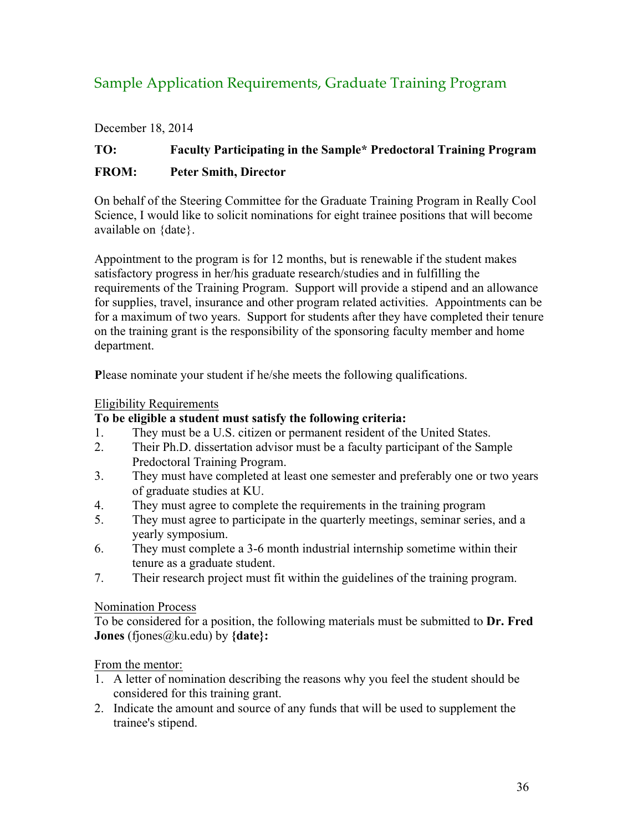# Sample Application Requirements, Graduate Training Program

December 18, 2014

# **TO: Faculty Participating in the Sample\* Predoctoral Training Program FROM: Peter Smith, Director**

On behalf of the Steering Committee for the Graduate Training Program in Really Cool Science, I would like to solicit nominations for eight trainee positions that will become available on {date}.

Appointment to the program is for 12 months, but is renewable if the student makes satisfactory progress in her/his graduate research/studies and in fulfilling the requirements of the Training Program. Support will provide a stipend and an allowance for supplies, travel, insurance and other program related activities. Appointments can be for a maximum of two years. Support for students after they have completed their tenure on the training grant is the responsibility of the sponsoring faculty member and home department.

**P**lease nominate your student if he/she meets the following qualifications.

### Eligibility Requirements

### **To be eligible a student must satisfy the following criteria:**

- 1. They must be a U.S. citizen or permanent resident of the United States.
- 2. Their Ph.D. dissertation advisor must be a faculty participant of the Sample Predoctoral Training Program.
- 3. They must have completed at least one semester and preferably one or two years of graduate studies at KU.
- 4. They must agree to complete the requirements in the training program
- 5. They must agree to participate in the quarterly meetings, seminar series, and a yearly symposium.
- 6. They must complete a 3-6 month industrial internship sometime within their tenure as a graduate student.
- 7. Their research project must fit within the guidelines of the training program.

### Nomination Process

To be considered for a position, the following materials must be submitted to **Dr. Fred Jones** (fjones@ku.edu) by **{date}:**

### From the mentor:

- 1. A letter of nomination describing the reasons why you feel the student should be considered for this training grant.
- 2. Indicate the amount and source of any funds that will be used to supplement the trainee's stipend.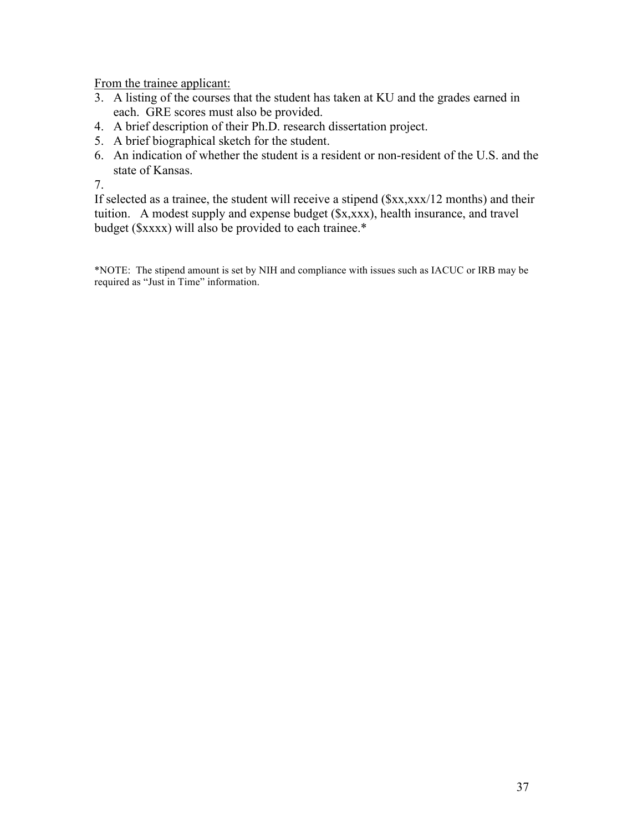From the trainee applicant:

- 3. A listing of the courses that the student has taken at KU and the grades earned in each. GRE scores must also be provided.
- 4. A brief description of their Ph.D. research dissertation project.
- 5. A brief biographical sketch for the student.
- 6. An indication of whether the student is a resident or non-resident of the U.S. and the state of Kansas.

7.

If selected as a trainee, the student will receive a stipend (\$xx,xxx/12 months) and their tuition. A modest supply and expense budget (\$x,xxx), health insurance, and travel budget (\$xxxx) will also be provided to each trainee.\*

\*NOTE: The stipend amount is set by NIH and compliance with issues such as IACUC or IRB may be required as "Just in Time" information.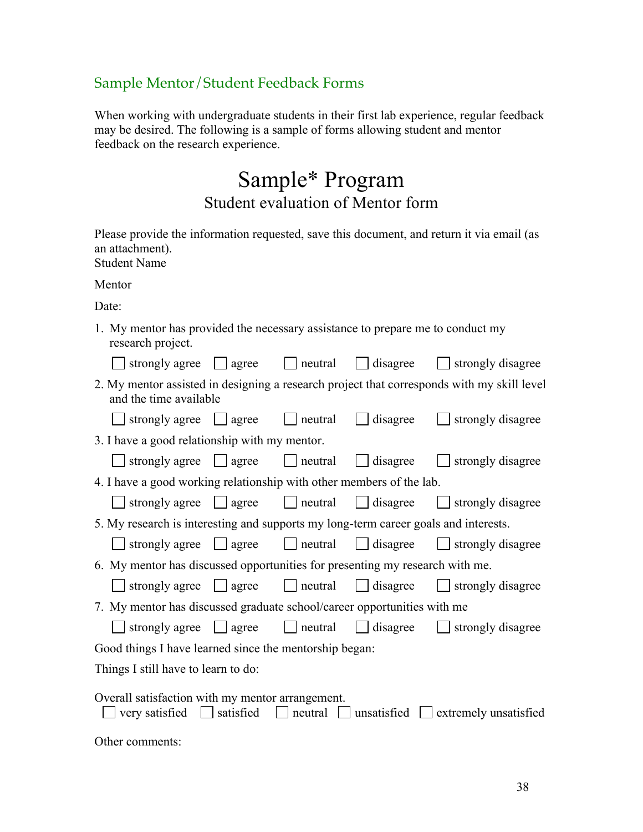# Sample Mentor/Student Feedback Forms

When working with undergraduate students in their first lab experience, regular feedback may be desired. The following is a sample of forms allowing student and mentor feedback on the research experience.

# Sample\* Program Student evaluation of Mentor form

Please provide the information requested, save this document, and return it via email (as an attachment). Student Name

Mentor

Date:

1. My mentor has provided the necessary assistance to prepare me to conduct my research project.

|                                                                                                                                                           |  |  |          | strongly agree $\Box$ agree $\Box$ neutral $\Box$ disagree $\Box$ strongly disagree        |  |
|-----------------------------------------------------------------------------------------------------------------------------------------------------------|--|--|----------|--------------------------------------------------------------------------------------------|--|
| 2. My mentor assisted in designing a research project that corresponds with my skill level<br>and the time available                                      |  |  |          |                                                                                            |  |
| $\Box$ strongly agree $\Box$ agree $\Box$ neutral                                                                                                         |  |  | disagree | $\Box$ strongly disagree                                                                   |  |
| 3. I have a good relationship with my mentor.                                                                                                             |  |  |          |                                                                                            |  |
|                                                                                                                                                           |  |  |          | strongly agree $\Box$ agree $\Box$ neutral $\Box$ disagree $\Box$ strongly disagree        |  |
| 4. I have a good working relationship with other members of the lab.                                                                                      |  |  |          |                                                                                            |  |
|                                                                                                                                                           |  |  |          | strongly agree $\Box$ agree $\Box$ neutral $\Box$ disagree $\Box$ strongly disagree        |  |
| 5. My research is interesting and supports my long-term career goals and interests.                                                                       |  |  |          |                                                                                            |  |
|                                                                                                                                                           |  |  |          | $\Box$ strongly agree $\Box$ agree $\Box$ neutral $\Box$ disagree $\Box$ strongly disagree |  |
| 6. My mentor has discussed opportunities for presenting my research with me.                                                                              |  |  |          |                                                                                            |  |
|                                                                                                                                                           |  |  |          | $\Box$ strongly agree $\Box$ agree $\Box$ neutral $\Box$ disagree $\Box$ strongly disagree |  |
| 7. My mentor has discussed graduate school/career opportunities with me                                                                                   |  |  |          |                                                                                            |  |
|                                                                                                                                                           |  |  |          | $\Box$ strongly agree $\Box$ agree $\Box$ neutral $\Box$ disagree $\Box$ strongly disagree |  |
| Good things I have learned since the mentorship began:                                                                                                    |  |  |          |                                                                                            |  |
| Things I still have to learn to do:                                                                                                                       |  |  |          |                                                                                            |  |
| Overall satisfaction with my mentor arrangement.<br>$\Box$ very satisfied $\Box$ satisfied $\Box$ neutral $\Box$ unsatisfied $\Box$ extremely unsatisfied |  |  |          |                                                                                            |  |

Other comments: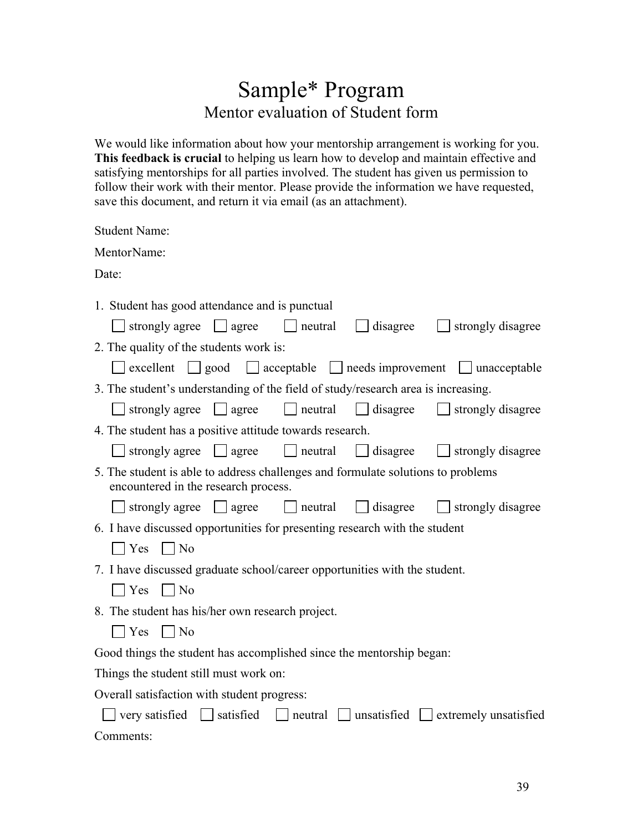# Sample\* Program Mentor evaluation of Student form

We would like information about how your mentorship arrangement is working for you. **This feedback is crucial** to helping us learn how to develop and maintain effective and satisfying mentorships for all parties involved. The student has given us permission to follow their work with their mentor. Please provide the information we have requested, save this document, and return it via email (as an attachment).

| <b>Student Name:</b>                                                                                                      |  |  |  |  |  |
|---------------------------------------------------------------------------------------------------------------------------|--|--|--|--|--|
| MentorName:                                                                                                               |  |  |  |  |  |
| Date:                                                                                                                     |  |  |  |  |  |
| 1. Student has good attendance and is punctual<br>strongly agree $\Box$ agree<br>neutral<br>disagree<br>strongly disagree |  |  |  |  |  |
| 2. The quality of the students work is:                                                                                   |  |  |  |  |  |
| excellent $\Box$ good<br>$\Box$ acceptable $\Box$ needs improvement $\Box$ unacceptable                                   |  |  |  |  |  |
| 3. The student's understanding of the field of study/research area is increasing.                                         |  |  |  |  |  |
| $\Box$ strongly agree $\Box$ agree<br>$\Box$ neutral $\Box$ disagree<br>$\Box$ strongly disagree                          |  |  |  |  |  |
| 4. The student has a positive attitude towards research.                                                                  |  |  |  |  |  |
| $\Box$ strongly agree $\Box$ agree<br>$\vert$ neutral<br>$\Box$ disagree<br>$\Box$ strongly disagree                      |  |  |  |  |  |
| 5. The student is able to address challenges and formulate solutions to problems<br>encountered in the research process.  |  |  |  |  |  |
| $\Box$ strongly agree $\Box$ agree<br>$\Box$ disagree<br>strongly disagree<br>$\vert$   neutral                           |  |  |  |  |  |
| 6. I have discussed opportunities for presenting research with the student                                                |  |  |  |  |  |
| $\bigcap$ Yes $\bigcap$ No                                                                                                |  |  |  |  |  |
| 7. I have discussed graduate school/career opportunities with the student.                                                |  |  |  |  |  |
| $\Box$ No<br>$\blacksquare$ Yes                                                                                           |  |  |  |  |  |
| 8. The student has his/her own research project.                                                                          |  |  |  |  |  |
| $\mathbf{Yes}$<br>$\vert$ No                                                                                              |  |  |  |  |  |
| Good things the student has accomplished since the mentorship began:                                                      |  |  |  |  |  |
| Things the student still must work on:                                                                                    |  |  |  |  |  |
| Overall satisfaction with student progress:                                                                               |  |  |  |  |  |
| $\Box$ very satisfied $\Box$ satisfied<br>$\Box$ neutral<br>$\Box$ unsatisfied $\Box$ extremely unsatisfied               |  |  |  |  |  |

Comments: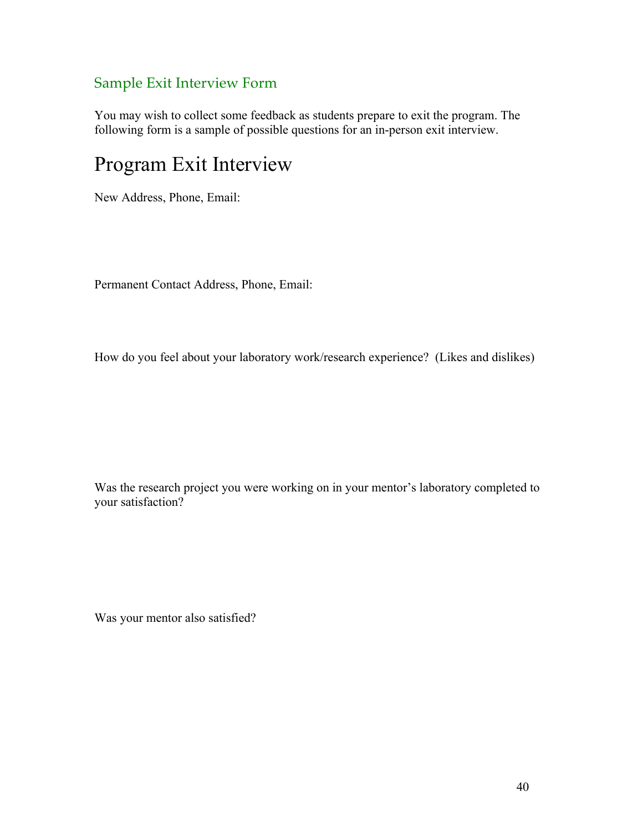# Sample Exit Interview Form

You may wish to collect some feedback as students prepare to exit the program. The following form is a sample of possible questions for an in-person exit interview.

# Program Exit Interview

New Address, Phone, Email:

Permanent Contact Address, Phone, Email:

How do you feel about your laboratory work/research experience? (Likes and dislikes)

Was the research project you were working on in your mentor's laboratory completed to your satisfaction?

Was your mentor also satisfied?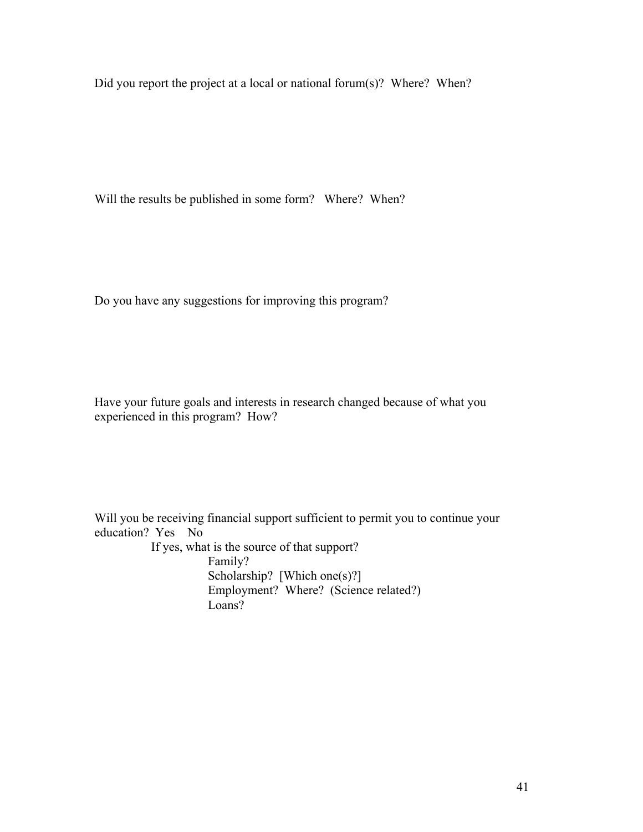Did you report the project at a local or national forum(s)? Where? When?

Will the results be published in some form? Where? When?

Do you have any suggestions for improving this program?

Have your future goals and interests in research changed because of what you experienced in this program? How?

Will you be receiving financial support sufficient to permit you to continue your education? Yes No If yes, what is the source of that support? Family?

Scholarship? [Which one $(s)$ ?] Employment? Where? (Science related?) Loans?